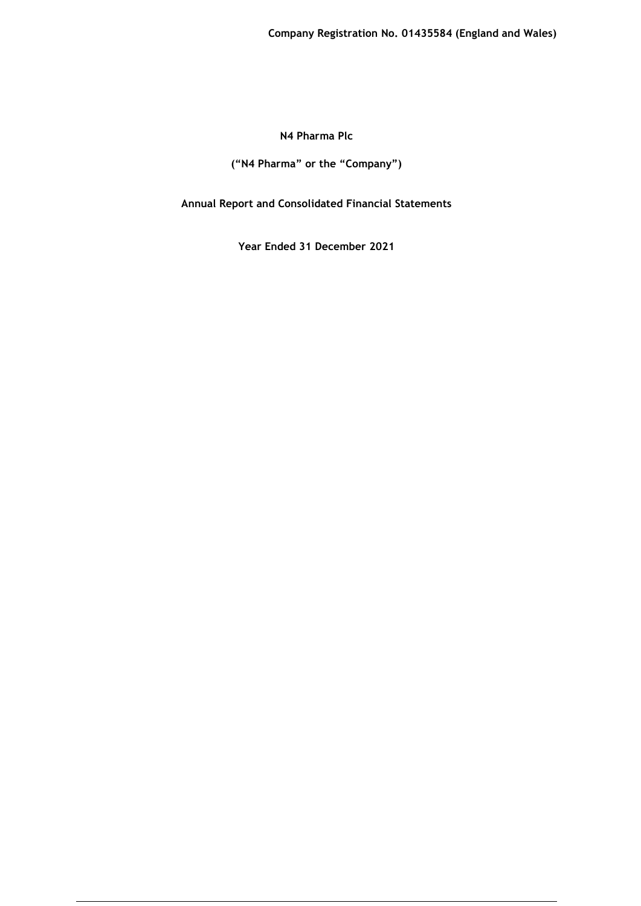# **("N4 Pharma" or the "Company")**

**Annual Report and Consolidated Financial Statements**

**Year Ended 31 December 2021**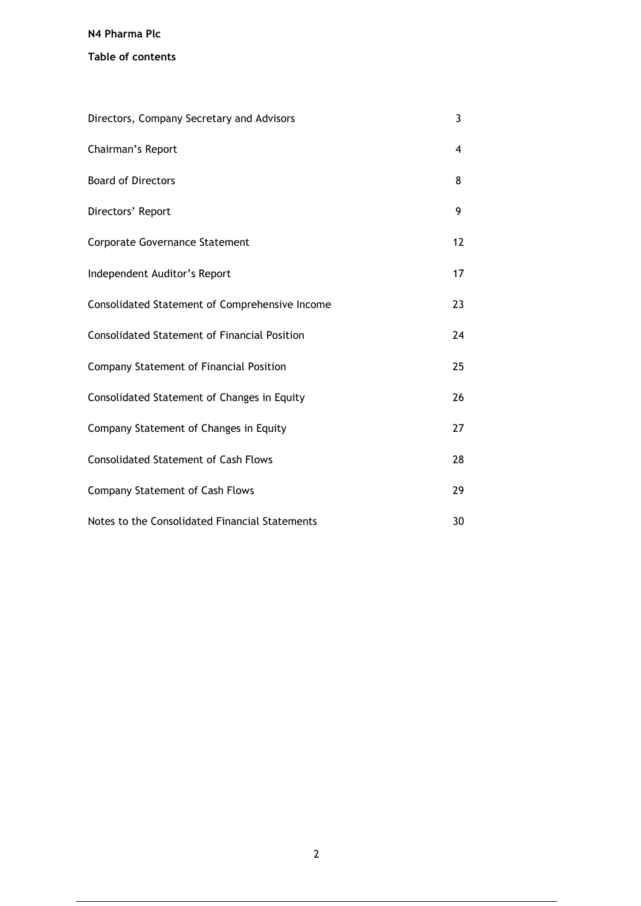## **Table of contents**

| Directors, Company Secretary and Advisors           | 3  |
|-----------------------------------------------------|----|
| Chairman's Report                                   | 4  |
| <b>Board of Directors</b>                           | 8  |
| Directors' Report                                   | 9  |
| <b>Corporate Governance Statement</b>               | 12 |
| Independent Auditor's Report                        | 17 |
| Consolidated Statement of Comprehensive Income      | 23 |
| <b>Consolidated Statement of Financial Position</b> | 24 |
| Company Statement of Financial Position             | 25 |
| Consolidated Statement of Changes in Equity         | 26 |
| Company Statement of Changes in Equity              | 27 |
| <b>Consolidated Statement of Cash Flows</b>         | 28 |
| <b>Company Statement of Cash Flows</b>              | 29 |
| Notes to the Consolidated Financial Statements      | 30 |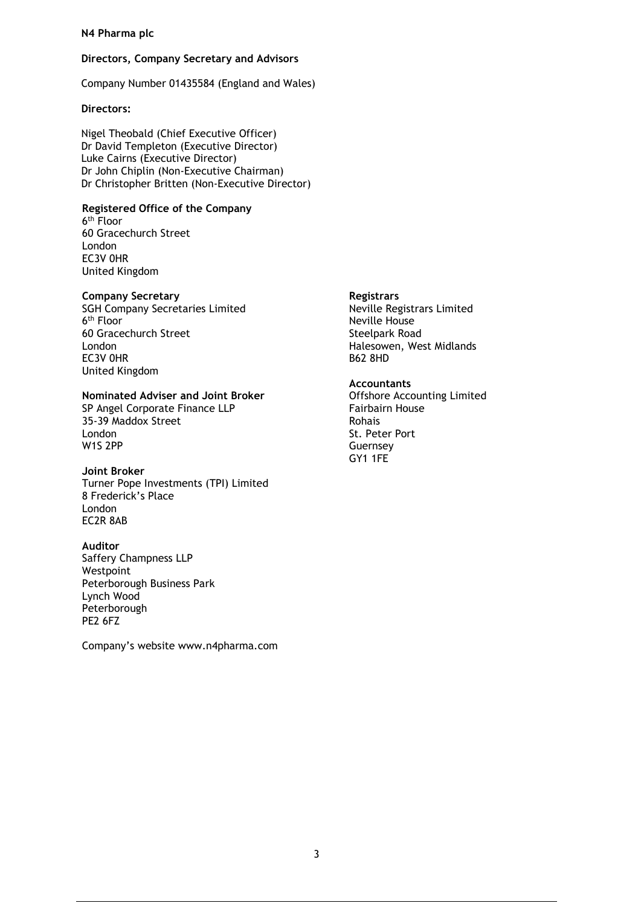## **Directors, Company Secretary and Advisors**

Company Number 01435584 (England and Wales)

#### **Directors:**

Nigel Theobald (Chief Executive Officer) Dr David Templeton (Executive Director) Luke Cairns (Executive Director) Dr John Chiplin (Non-Executive Chairman) Dr Christopher Britten (Non-Executive Director)

## **Registered Office of the Company**

6<sup>th</sup> Floor 60 Gracechurch Street London EC3V 0HR United Kingdom

### **Company Secretary**

SGH Company Secretaries Limited 6<sup>th</sup> Floor 60 Gracechurch Street London EC3V 0HR United Kingdom

# **Nominated Adviser and Joint Broker**

SP Angel Corporate Finance LLP 35-39 Maddox Street London W1S 2PP

#### **Joint Broker**

Turner Pope Investments (TPI) Limited 8 Frederick's Place London EC2R 8AB

#### **Auditor**

Saffery Champness LLP Westpoint Peterborough Business Park Lynch Wood **Peterborough** PE2 6FZ

Company's website www.n4pharma.com

## **Registrars**

Neville Registrars Limited Neville House Steelpark Road Halesowen, West Midlands B62 8HD

### **Accountants**

Offshore Accounting Limited Fairbairn House Rohais St. Peter Port Guernsey GY1 1FE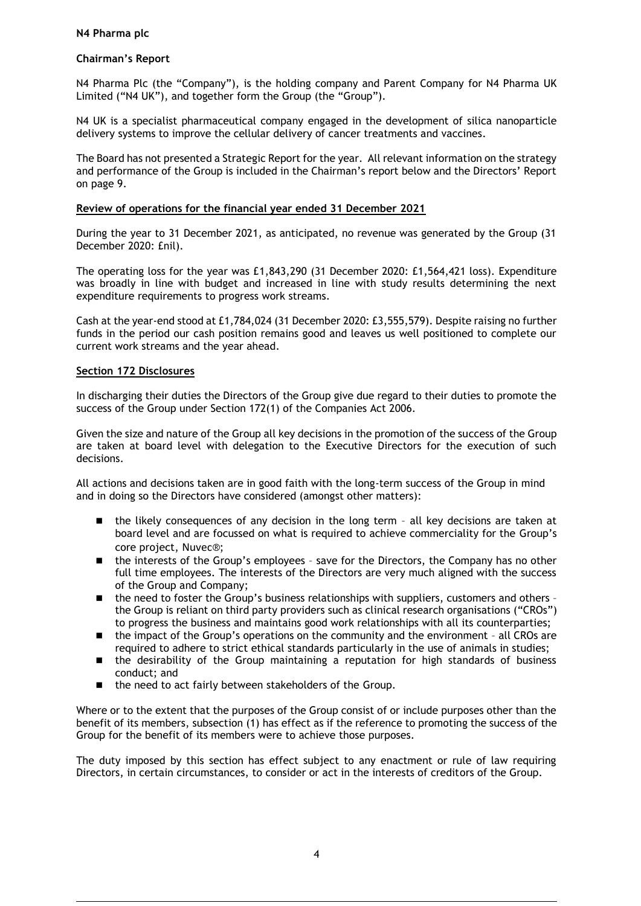## **Chairman's Report**

N4 Pharma Plc (the "Company"), is the holding company and Parent Company for N4 Pharma UK Limited ("N4 UK"), and together form the Group (the "Group").

N4 UK is a specialist pharmaceutical company engaged in the development of silica nanoparticle delivery systems to improve the cellular delivery of cancer treatments and vaccines.

The Board has not presented a Strategic Report for the year. All relevant information on the strategy and performance of the Group is included in the Chairman's report below and the Directors' Report on page 9.

### **Review of operations for the financial year ended 31 December 2021**

During the year to 31 December 2021, as anticipated, no revenue was generated by the Group (31 December 2020: £nil).

The operating loss for the year was £1,843,290 (31 December 2020: £1,564,421 loss). Expenditure was broadly in line with budget and increased in line with study results determining the next expenditure requirements to progress work streams.

Cash at the year-end stood at £1,784,024 (31 December 2020: £3,555,579). Despite raising no further funds in the period our cash position remains good and leaves us well positioned to complete our current work streams and the year ahead.

### **Section 172 Disclosures**

In discharging their duties the Directors of the Group give due regard to their duties to promote the success of the Group under Section 172(1) of the Companies Act 2006.

Given the size and nature of the Group all key decisions in the promotion of the success of the Group are taken at board level with delegation to the Executive Directors for the execution of such decisions.

All actions and decisions taken are in good faith with the long-term success of the Group in mind and in doing so the Directors have considered (amongst other matters):

- the likely consequences of any decision in the long term all key decisions are taken at board level and are focussed on what is required to achieve commerciality for the Group's core project, Nuvec®;
- the interests of the Group's employees save for the Directors, the Company has no other full time employees. The interests of the Directors are very much aligned with the success of the Group and Company;
- the need to foster the Group's business relationships with suppliers, customers and others the Group is reliant on third party providers such as clinical research organisations ("CROs") to progress the business and maintains good work relationships with all its counterparties;
- the impact of the Group's operations on the community and the environment all CROs are required to adhere to strict ethical standards particularly in the use of animals in studies;
- the desirability of the Group maintaining a reputation for high standards of business conduct; and
- the need to act fairly between stakeholders of the Group.

Where or to the extent that the purposes of the Group consist of or include purposes other than the benefit of its members, subsection (1) has effect as if the reference to promoting the success of the Group for the benefit of its members were to achieve those purposes.

The duty imposed by this section has effect subject to any enactment or rule of law requiring Directors, in certain circumstances, to consider or act in the interests of creditors of the Group.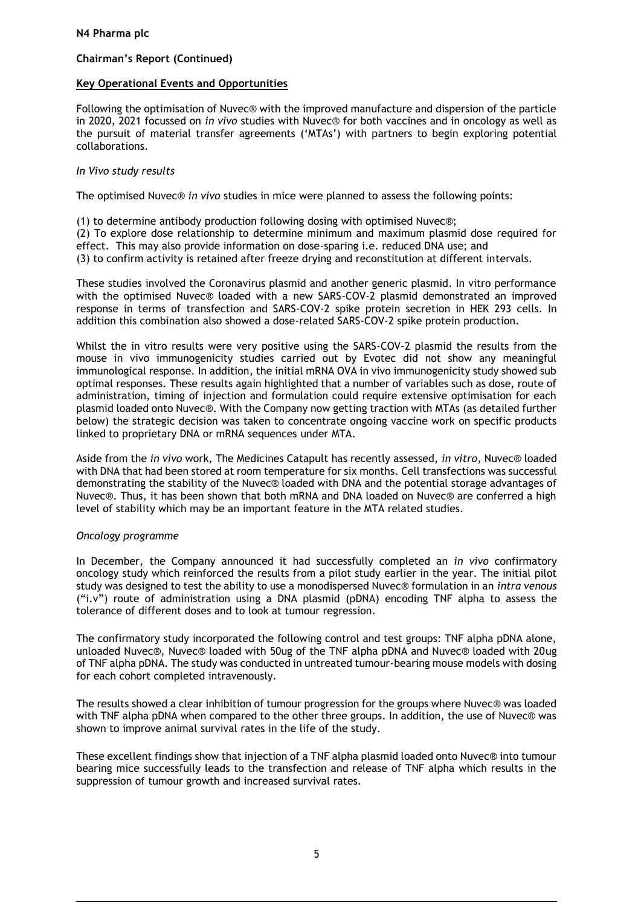### **Chairman's Report (Continued)**

### **Key Operational Events and Opportunities**

Following the optimisation of Nuvec® with the improved manufacture and dispersion of the particle in 2020, 2021 focussed on *in vivo* studies with Nuvec® for both vaccines and in oncology as well as the pursuit of material transfer agreements ('MTAs') with partners to begin exploring potential collaborations.

### *In Vivo study results*

The optimised Nuvec® *in vivo* studies in mice were planned to assess the following points:

(1) to determine antibody production following dosing with optimised Nuvec®;

(2) To explore dose relationship to determine minimum and maximum plasmid dose required for effect. This may also provide information on dose-sparing i.e. reduced DNA use; and (3) to confirm activity is retained after freeze drying and reconstitution at different intervals.

These studies involved the Coronavirus plasmid and another generic plasmid. In vitro performance with the optimised Nuvec® loaded with a new SARS-COV-2 plasmid demonstrated an improved response in terms of transfection and SARS-COV-2 spike protein secretion in HEK 293 cells. In addition this combination also showed a dose-related SARS-COV-2 spike protein production.

Whilst the in vitro results were very positive using the SARS-COV-2 plasmid the results from the mouse in vivo immunogenicity studies carried out by Evotec did not show any meaningful immunological response. In addition, the initial mRNA OVA in vivo immunogenicity study showed sub optimal responses. These results again highlighted that a number of variables such as dose, route of administration, timing of injection and formulation could require extensive optimisation for each plasmid loaded onto Nuvec®. With the Company now getting traction with MTAs (as detailed further below) the strategic decision was taken to concentrate ongoing vaccine work on specific products linked to proprietary DNA or mRNA sequences under MTA.

Aside from the *in vivo* work, The Medicines Catapult has recently assessed, *in vitro*, Nuvec® loaded with DNA that had been stored at room temperature for six months. Cell transfections was successful demonstrating the stability of the Nuvec® loaded with DNA and the potential storage advantages of Nuvec®. Thus, it has been shown that both mRNA and DNA loaded on Nuvec® are conferred a high level of stability which may be an important feature in the MTA related studies.

## *Oncology programme*

In December, the Company announced it had successfully completed an *in vivo* confirmatory oncology study which reinforced the results from a pilot study earlier in the year. The initial pilot study was designed to test the ability to use a monodispersed Nuvec® formulation in an *intra venous* ("i.v") route of administration using a DNA plasmid (pDNA) encoding TNF alpha to assess the tolerance of different doses and to look at tumour regression.

The confirmatory study incorporated the following control and test groups: TNF alpha pDNA alone, unloaded Nuvec®, Nuvec® loaded with 50ug of the TNF alpha pDNA and Nuvec® loaded with 20ug of TNF alpha pDNA. The study was conducted in untreated tumour-bearing mouse models with dosing for each cohort completed intravenously.

The results showed a clear inhibition of tumour progression for the groups where Nuvec® was loaded with TNF alpha pDNA when compared to the other three groups. In addition, the use of Nuvec® was shown to improve animal survival rates in the life of the study.

These excellent findings show that injection of a TNF alpha plasmid loaded onto Nuvec® into tumour bearing mice successfully leads to the transfection and release of TNF alpha which results in the suppression of tumour growth and increased survival rates.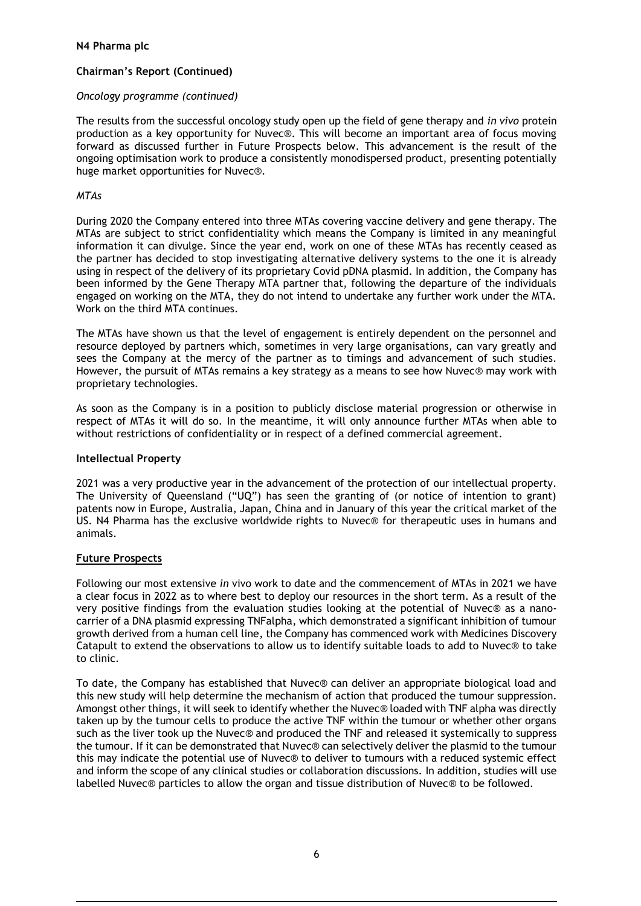### **Chairman's Report (Continued)**

### *Oncology programme (continued)*

The results from the successful oncology study open up the field of gene therapy and *in vivo* protein production as a key opportunity for Nuvec®. This will become an important area of focus moving forward as discussed further in Future Prospects below. This advancement is the result of the ongoing optimisation work to produce a consistently monodispersed product, presenting potentially huge market opportunities for Nuvec®.

## *MTAs*

During 2020 the Company entered into three MTAs covering vaccine delivery and gene therapy. The MTAs are subject to strict confidentiality which means the Company is limited in any meaningful information it can divulge. Since the year end, work on one of these MTAs has recently ceased as the partner has decided to stop investigating alternative delivery systems to the one it is already using in respect of the delivery of its proprietary Covid pDNA plasmid. In addition, the Company has been informed by the Gene Therapy MTA partner that, following the departure of the individuals engaged on working on the MTA, they do not intend to undertake any further work under the MTA. Work on the third MTA continues.

The MTAs have shown us that the level of engagement is entirely dependent on the personnel and resource deployed by partners which, sometimes in very large organisations, can vary greatly and sees the Company at the mercy of the partner as to timings and advancement of such studies. However, the pursuit of MTAs remains a key strategy as a means to see how Nuvec® may work with proprietary technologies.

As soon as the Company is in a position to publicly disclose material progression or otherwise in respect of MTAs it will do so. In the meantime, it will only announce further MTAs when able to without restrictions of confidentiality or in respect of a defined commercial agreement.

#### **Intellectual Property**

2021 was a very productive year in the advancement of the protection of our intellectual property. The University of Queensland ("UQ") has seen the granting of (or notice of intention to grant) patents now in Europe, Australia, Japan, China and in January of this year the critical market of the US. N4 Pharma has the exclusive worldwide rights to Nuvec® for therapeutic uses in humans and animals.

#### **Future Prospects**

Following our most extensive *in* vivo work to date and the commencement of MTAs in 2021 we have a clear focus in 2022 as to where best to deploy our resources in the short term. As a result of the very positive findings from the evaluation studies looking at the potential of Nuvec® as a nanocarrier of a DNA plasmid expressing TNFalpha, which demonstrated a significant inhibition of tumour growth derived from a human cell line, the Company has commenced work with Medicines Discovery Catapult to extend the observations to allow us to identify suitable loads to add to Nuvec® to take to clinic.

To date, the Company has established that Nuvec® can deliver an appropriate biological load and this new study will help determine the mechanism of action that produced the tumour suppression. Amongst other things, it will seek to identify whether the Nuvec® loaded with TNF alpha was directly taken up by the tumour cells to produce the active TNF within the tumour or whether other organs such as the liver took up the Nuvec® and produced the TNF and released it systemically to suppress the tumour. If it can be demonstrated that Nuvec® can selectively deliver the plasmid to the tumour this may indicate the potential use of Nuvec® to deliver to tumours with a reduced systemic effect and inform the scope of any clinical studies or collaboration discussions. In addition, studies will use labelled Nuvec® particles to allow the organ and tissue distribution of Nuvec® to be followed.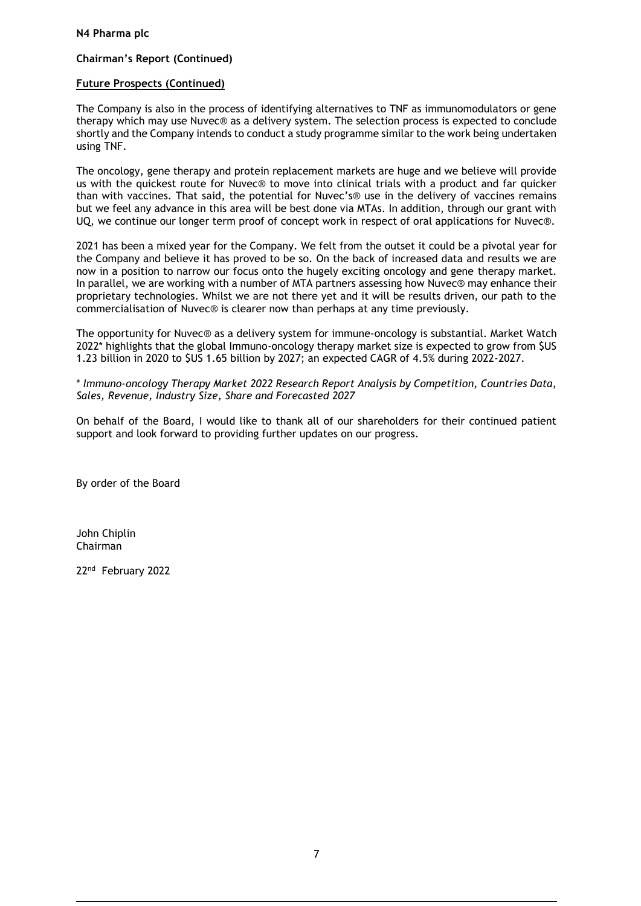## **Chairman's Report (Continued)**

### **Future Prospects (Continued)**

The Company is also in the process of identifying alternatives to TNF as immunomodulators or gene therapy which may use Nuvec® as a delivery system. The selection process is expected to conclude shortly and the Company intends to conduct a study programme similar to the work being undertaken using TNF.

The oncology, gene therapy and protein replacement markets are huge and we believe will provide us with the quickest route for Nuvec® to move into clinical trials with a product and far quicker than with vaccines. That said, the potential for Nuvec's® use in the delivery of vaccines remains but we feel any advance in this area will be best done via MTAs. In addition, through our grant with UQ, we continue our longer term proof of concept work in respect of oral applications for Nuvec®.

2021 has been a mixed year for the Company. We felt from the outset it could be a pivotal year for the Company and believe it has proved to be so. On the back of increased data and results we are now in a position to narrow our focus onto the hugely exciting oncology and gene therapy market. In parallel, we are working with a number of MTA partners assessing how Nuvec® may enhance their proprietary technologies. Whilst we are not there yet and it will be results driven, our path to the commercialisation of Nuvec® is clearer now than perhaps at any time previously.

The opportunity for Nuvec® as a delivery system for immune-oncology is substantial. Market Watch 2022\* highlights that the global Immuno-oncology therapy market size is expected to grow from \$US 1.23 billion in 2020 to \$US 1.65 billion by 2027; an expected CAGR of 4.5% during 2022-2027.

\* *Immuno-oncology Therapy Market 2022 Research Report Analysis by Competition, Countries Data, Sales, Revenue, Industry Size, Share and Forecasted 2027*

On behalf of the Board, I would like to thank all of our shareholders for their continued patient support and look forward to providing further updates on our progress.

By order of the Board

John Chiplin Chairman

22nd February 2022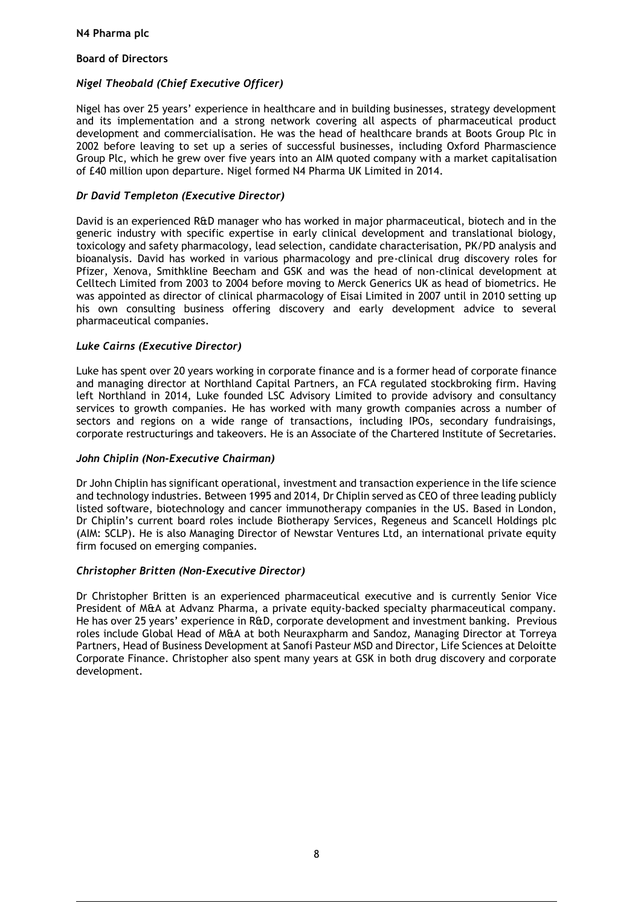### **Board of Directors**

## *Nigel Theobald (Chief Executive Officer)*

Nigel has over 25 years' experience in healthcare and in building businesses, strategy development and its implementation and a strong network covering all aspects of pharmaceutical product development and commercialisation. He was the head of healthcare brands at Boots Group Plc in 2002 before leaving to set up a series of successful businesses, including Oxford Pharmascience Group Plc, which he grew over five years into an AIM quoted company with a market capitalisation of £40 million upon departure. Nigel formed N4 Pharma UK Limited in 2014.

# *Dr David Templeton (Executive Director)*

David is an experienced R&D manager who has worked in major pharmaceutical, biotech and in the generic industry with specific expertise in early clinical development and translational biology, toxicology and safety pharmacology, lead selection, candidate characterisation, PK/PD analysis and bioanalysis. David has worked in various pharmacology and pre-clinical drug discovery roles for Pfizer, Xenova, Smithkline Beecham and GSK and was the head of non-clinical development at Celltech Limited from 2003 to 2004 before moving to Merck Generics UK as head of biometrics. He was appointed as director of clinical pharmacology of Eisai Limited in 2007 until in 2010 setting up his own consulting business offering discovery and early development advice to several pharmaceutical companies.

## *Luke Cairns (Executive Director)*

Luke has spent over 20 years working in corporate finance and is a former head of corporate finance and managing director at Northland Capital Partners, an FCA regulated stockbroking firm. Having left Northland in 2014, Luke founded LSC Advisory Limited to provide advisory and consultancy services to growth companies. He has worked with many growth companies across a number of sectors and regions on a wide range of transactions, including IPOs, secondary fundraisings, corporate restructurings and takeovers. He is an Associate of the Chartered Institute of Secretaries.

### *John Chiplin (Non-Executive Chairman)*

Dr John Chiplin has significant operational, investment and transaction experience in the life science and technology industries. Between 1995 and 2014, Dr Chiplin served as CEO of three leading publicly listed software, biotechnology and cancer immunotherapy companies in the US. Based in London, Dr Chiplin's current board roles include Biotherapy Services, Regeneus and Scancell Holdings plc (AIM: SCLP). He is also Managing Director of Newstar Ventures Ltd, an international private equity firm focused on emerging companies.

#### *Christopher Britten (Non-Executive Director)*

Dr Christopher Britten is an experienced pharmaceutical executive and is currently Senior Vice President of M&A at Advanz Pharma, a private equity-backed specialty pharmaceutical company. He has over 25 years' experience in R&D, corporate development and investment banking. Previous roles include Global Head of M&A at both Neuraxpharm and Sandoz, Managing Director at Torreya Partners, Head of Business Development at Sanofi Pasteur MSD and Director, Life Sciences at Deloitte Corporate Finance. Christopher also spent many years at GSK in both drug discovery and corporate development.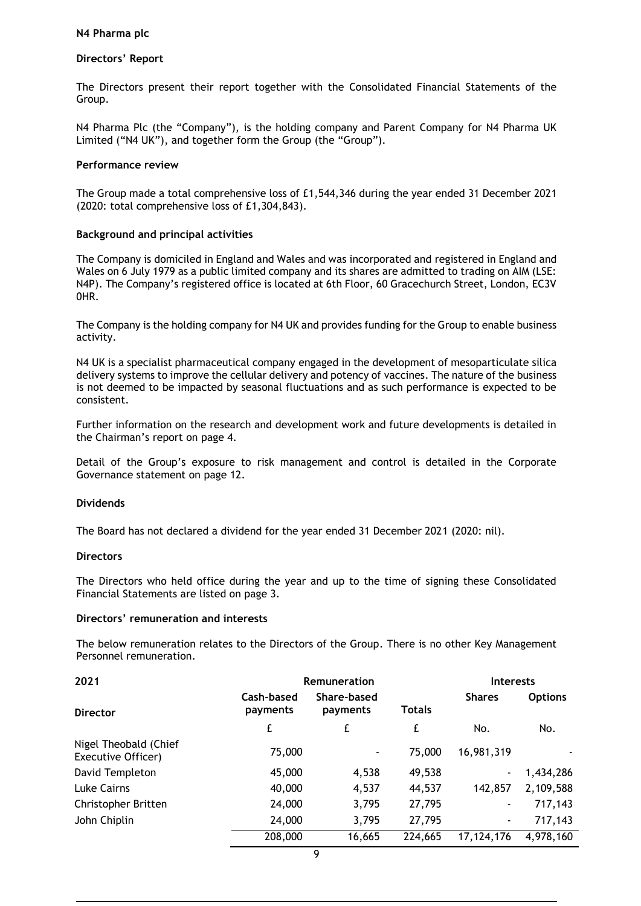### **Directors' Report**

The Directors present their report together with the Consolidated Financial Statements of the Group.

N4 Pharma Plc (the "Company"), is the holding company and Parent Company for N4 Pharma UK Limited ("N4 UK"), and together form the Group (the "Group").

### **Performance review**

The Group made a total comprehensive loss of £1,544,346 during the year ended 31 December 2021 (2020: total comprehensive loss of £1,304,843).

### **Background and principal activities**

The Company is domiciled in England and Wales and was incorporated and registered in England and Wales on 6 July 1979 as a public limited company and its shares are admitted to trading on AIM (LSE: N4P). The Company's registered office is located at 6th Floor, 60 Gracechurch Street, London, EC3V 0HR.

The Company is the holding company for N4 UK and provides funding for the Group to enable business activity.

N4 UK is a specialist pharmaceutical company engaged in the development of mesoparticulate silica delivery systems to improve the cellular delivery and potency of vaccines. The nature of the business is not deemed to be impacted by seasonal fluctuations and as such performance is expected to be consistent.

Further information on the research and development work and future developments is detailed in the Chairman's report on page 4.

Detail of the Group's exposure to risk management and control is detailed in the Corporate Governance statement on page 12.

## **Dividends**

The Board has not declared a dividend for the year ended 31 December 2021 (2020: nil).

#### **Directors**

The Directors who held office during the year and up to the time of signing these Consolidated Financial Statements are listed on page 3.

#### **Directors' remuneration and interests**

The below remuneration relates to the Directors of the Group. There is no other Key Management Personnel remuneration.

| 2021                                        |                        | Remuneration            | <b>Interests</b> |               |                |
|---------------------------------------------|------------------------|-------------------------|------------------|---------------|----------------|
| <b>Director</b>                             | Cash-based<br>payments | Share-based<br>payments | <b>Totals</b>    | <b>Shares</b> | <b>Options</b> |
|                                             | £                      | £                       | £                | No.           | No.            |
| Nigel Theobald (Chief<br>Executive Officer) | 75,000                 | ٠                       | 75,000           | 16,981,319    |                |
| David Templeton                             | 45,000                 | 4,538                   | 49,538           |               | 1,434,286      |
| Luke Cairns                                 | 40,000                 | 4,537                   | 44,537           | 142,857       | 2,109,588      |
| Christopher Britten                         | 24,000                 | 3,795                   | 27,795           | ۰.            | 717,143        |
| John Chiplin                                | 24,000                 | 3,795                   | 27,795           | ٠             | 717,143        |
|                                             | 208,000                | 16,665                  | 224,665          | 17, 124, 176  | 4,978,160      |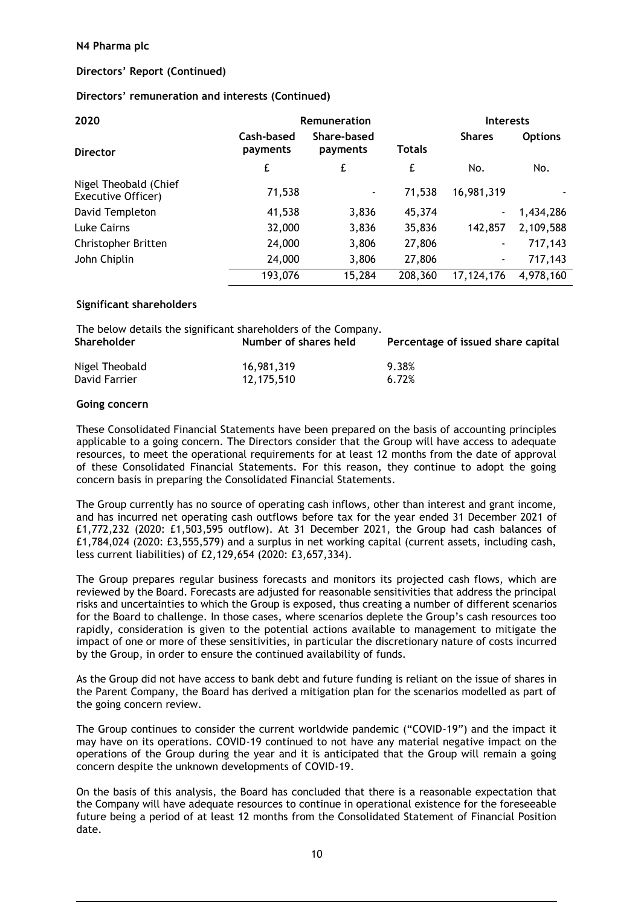### **Directors' Report (Continued)**

## **Directors' remuneration and interests (Continued)**

| 2020                                        | Remuneration           | <b>Interests</b>        |         |                          |                |
|---------------------------------------------|------------------------|-------------------------|---------|--------------------------|----------------|
| <b>Director</b>                             | Cash-based<br>payments | Share-based<br>payments | Totals  | <b>Shares</b>            | <b>Options</b> |
|                                             | £                      | £                       | £       | No.                      | No.            |
| Nigel Theobald (Chief<br>Executive Officer) | 71,538                 | -                       | 71,538  | 16,981,319               |                |
| David Templeton                             | 41,538                 | 3,836                   | 45,374  | $\overline{\phantom{a}}$ | 1,434,286      |
| Luke Cairns                                 | 32,000                 | 3,836                   | 35,836  | 142,857                  | 2,109,588      |
| Christopher Britten                         | 24,000                 | 3,806                   | 27,806  | ٠                        | 717,143        |
| John Chiplin                                | 24,000                 | 3,806                   | 27,806  | ٠                        | 717,143        |
|                                             | 193,076                | 15,284                  | 208,360 | 17, 124, 176             | 4,978,160      |

### **Significant shareholders**

| The below details the significant shareholders of the Company. |                       |                                    |  |  |  |  |  |
|----------------------------------------------------------------|-----------------------|------------------------------------|--|--|--|--|--|
| <b>Shareholder</b>                                             | Number of shares held | Percentage of issued share capital |  |  |  |  |  |
| Nigel Theobald                                                 | 16.981.319            | 9.38%                              |  |  |  |  |  |
| David Farrier                                                  | 12.175.510            | 6.72%                              |  |  |  |  |  |

### **Going concern**

These Consolidated Financial Statements have been prepared on the basis of accounting principles applicable to a going concern. The Directors consider that the Group will have access to adequate resources, to meet the operational requirements for at least 12 months from the date of approval of these Consolidated Financial Statements. For this reason, they continue to adopt the going concern basis in preparing the Consolidated Financial Statements.

The Group currently has no source of operating cash inflows, other than interest and grant income, and has incurred net operating cash outflows before tax for the year ended 31 December 2021 of £1,772,232 (2020: £1,503,595 outflow). At 31 December 2021, the Group had cash balances of £1,784,024 (2020: £3,555,579) and a surplus in net working capital (current assets, including cash, less current liabilities) of £2,129,654 (2020: £3,657,334).

The Group prepares regular business forecasts and monitors its projected cash flows, which are reviewed by the Board. Forecasts are adjusted for reasonable sensitivities that address the principal risks and uncertainties to which the Group is exposed, thus creating a number of different scenarios for the Board to challenge. In those cases, where scenarios deplete the Group's cash resources too rapidly, consideration is given to the potential actions available to management to mitigate the impact of one or more of these sensitivities, in particular the discretionary nature of costs incurred by the Group, in order to ensure the continued availability of funds.

As the Group did not have access to bank debt and future funding is reliant on the issue of shares in the Parent Company, the Board has derived a mitigation plan for the scenarios modelled as part of the going concern review.

The Group continues to consider the current worldwide pandemic ("COVID-19") and the impact it may have on its operations. COVID-19 continued to not have any material negative impact on the operations of the Group during the year and it is anticipated that the Group will remain a going concern despite the unknown developments of COVID-19.

On the basis of this analysis, the Board has concluded that there is a reasonable expectation that the Company will have adequate resources to continue in operational existence for the foreseeable future being a period of at least 12 months from the Consolidated Statement of Financial Position date.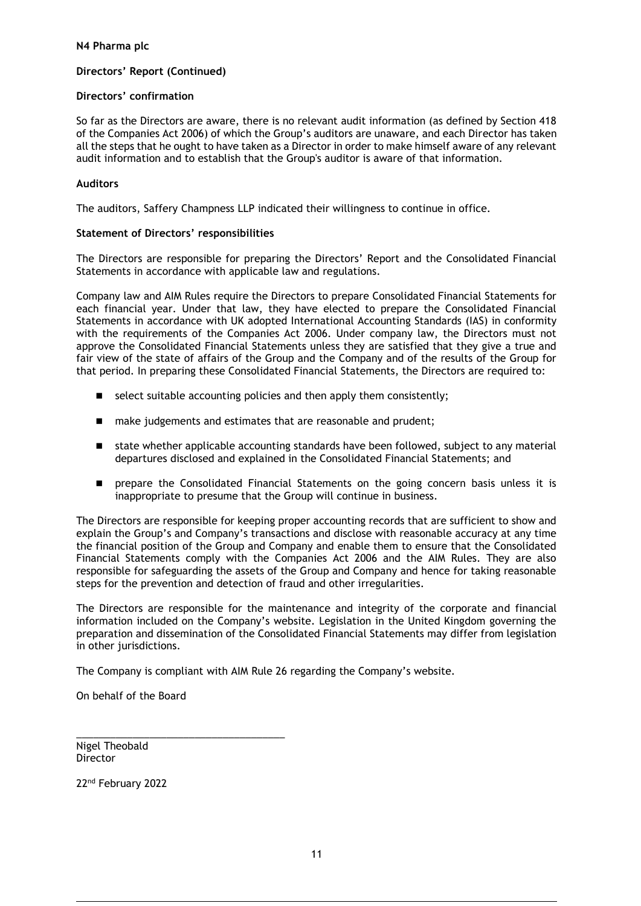### **Directors' Report (Continued)**

### **Directors' confirmation**

So far as the Directors are aware, there is no relevant audit information (as defined by Section 418 of the Companies Act 2006) of which the Group's auditors are unaware, and each Director has taken all the steps that he ought to have taken as a Director in order to make himself aware of any relevant audit information and to establish that the Group's auditor is aware of that information.

## **Auditors**

The auditors, Saffery Champness LLP indicated their willingness to continue in office.

### **Statement of Directors' responsibilities**

The Directors are responsible for preparing the Directors' Report and the Consolidated Financial Statements in accordance with applicable law and regulations.

Company law and AIM Rules require the Directors to prepare Consolidated Financial Statements for each financial year. Under that law, they have elected to prepare the Consolidated Financial Statements in accordance with UK adopted International Accounting Standards (IAS) in conformity with the requirements of the Companies Act 2006. Under company law, the Directors must not approve the Consolidated Financial Statements unless they are satisfied that they give a true and fair view of the state of affairs of the Group and the Company and of the results of the Group for that period. In preparing these Consolidated Financial Statements, the Directors are required to:

- select suitable accounting policies and then apply them consistently;
- make judgements and estimates that are reasonable and prudent;
- state whether applicable accounting standards have been followed, subject to any material departures disclosed and explained in the Consolidated Financial Statements; and
- prepare the Consolidated Financial Statements on the going concern basis unless it is inappropriate to presume that the Group will continue in business.

The Directors are responsible for keeping proper accounting records that are sufficient to show and explain the Group's and Company's transactions and disclose with reasonable accuracy at any time the financial position of the Group and Company and enable them to ensure that the Consolidated Financial Statements comply with the Companies Act 2006 and the AIM Rules. They are also responsible for safeguarding the assets of the Group and Company and hence for taking reasonable steps for the prevention and detection of fraud and other irregularities.

The Directors are responsible for the maintenance and integrity of the corporate and financial information included on the Company's website. Legislation in the United Kingdom governing the preparation and dissemination of the Consolidated Financial Statements may differ from legislation in other jurisdictions.

The Company is compliant with AIM Rule 26 regarding the Company's website.

On behalf of the Board

\_\_\_\_\_\_\_\_\_\_\_\_\_\_\_\_\_\_\_\_\_\_\_\_\_\_\_\_\_\_\_\_\_\_\_\_\_

Nigel Theobald Director

22nd February 2022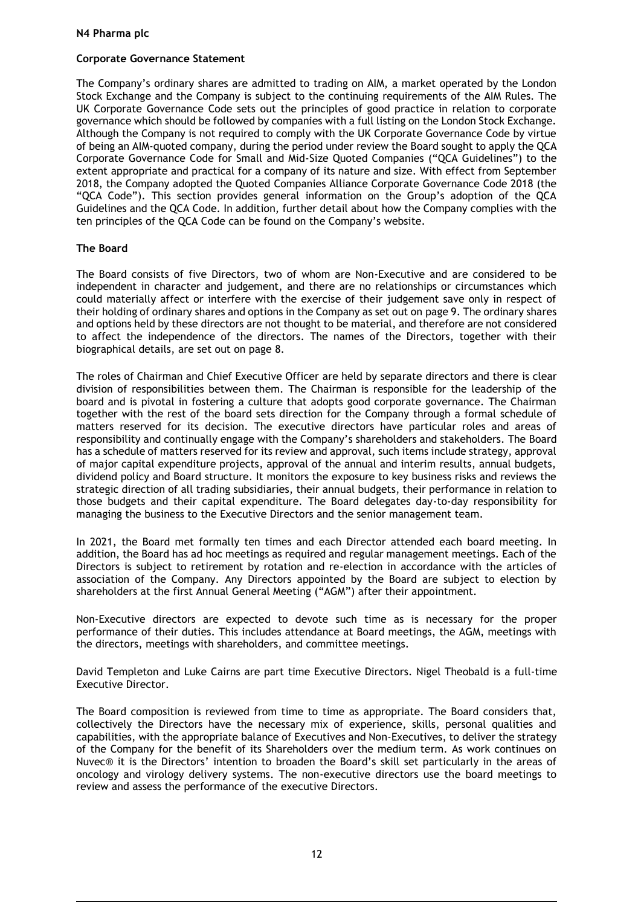### **Corporate Governance Statement**

The Company's ordinary shares are admitted to trading on AIM, a market operated by the London Stock Exchange and the Company is subject to the continuing requirements of the AIM Rules. The UK Corporate Governance Code sets out the principles of good practice in relation to corporate governance which should be followed by companies with a full listing on the London Stock Exchange. Although the Company is not required to comply with the UK Corporate Governance Code by virtue of being an AIM-quoted company, during the period under review the Board sought to apply the QCA Corporate Governance Code for Small and Mid-Size Quoted Companies ("QCA Guidelines") to the extent appropriate and practical for a company of its nature and size. With effect from September 2018, the Company adopted the Quoted Companies Alliance Corporate Governance Code 2018 (the "QCA Code"). This section provides general information on the Group's adoption of the QCA Guidelines and the QCA Code. In addition, further detail about how the Company complies with the ten principles of the QCA Code can be found on the Company's website.

### **The Board**

The Board consists of five Directors, two of whom are Non-Executive and are considered to be independent in character and judgement, and there are no relationships or circumstances which could materially affect or interfere with the exercise of their judgement save only in respect of their holding of ordinary shares and options in the Company as set out on page 9. The ordinary shares and options held by these directors are not thought to be material, and therefore are not considered to affect the independence of the directors. The names of the Directors, together with their biographical details, are set out on page 8.

The roles of Chairman and Chief Executive Officer are held by separate directors and there is clear division of responsibilities between them. The Chairman is responsible for the leadership of the board and is pivotal in fostering a culture that adopts good corporate governance. The Chairman together with the rest of the board sets direction for the Company through a formal schedule of matters reserved for its decision. The executive directors have particular roles and areas of responsibility and continually engage with the Company's shareholders and stakeholders. The Board has a schedule of matters reserved for its review and approval, such items include strategy, approval of major capital expenditure projects, approval of the annual and interim results, annual budgets, dividend policy and Board structure. It monitors the exposure to key business risks and reviews the strategic direction of all trading subsidiaries, their annual budgets, their performance in relation to those budgets and their capital expenditure. The Board delegates day-to-day responsibility for managing the business to the Executive Directors and the senior management team.

In 2021, the Board met formally ten times and each Director attended each board meeting. In addition, the Board has ad hoc meetings as required and regular management meetings. Each of the Directors is subject to retirement by rotation and re-election in accordance with the articles of association of the Company. Any Directors appointed by the Board are subject to election by shareholders at the first Annual General Meeting ("AGM") after their appointment.

Non-Executive directors are expected to devote such time as is necessary for the proper performance of their duties. This includes attendance at Board meetings, the AGM, meetings with the directors, meetings with shareholders, and committee meetings.

David Templeton and Luke Cairns are part time Executive Directors. Nigel Theobald is a full-time Executive Director.

The Board composition is reviewed from time to time as appropriate. The Board considers that, collectively the Directors have the necessary mix of experience, skills, personal qualities and capabilities, with the appropriate balance of Executives and Non-Executives, to deliver the strategy of the Company for the benefit of its Shareholders over the medium term. As work continues on Nuvec® it is the Directors' intention to broaden the Board's skill set particularly in the areas of oncology and virology delivery systems. The non-executive directors use the board meetings to review and assess the performance of the executive Directors.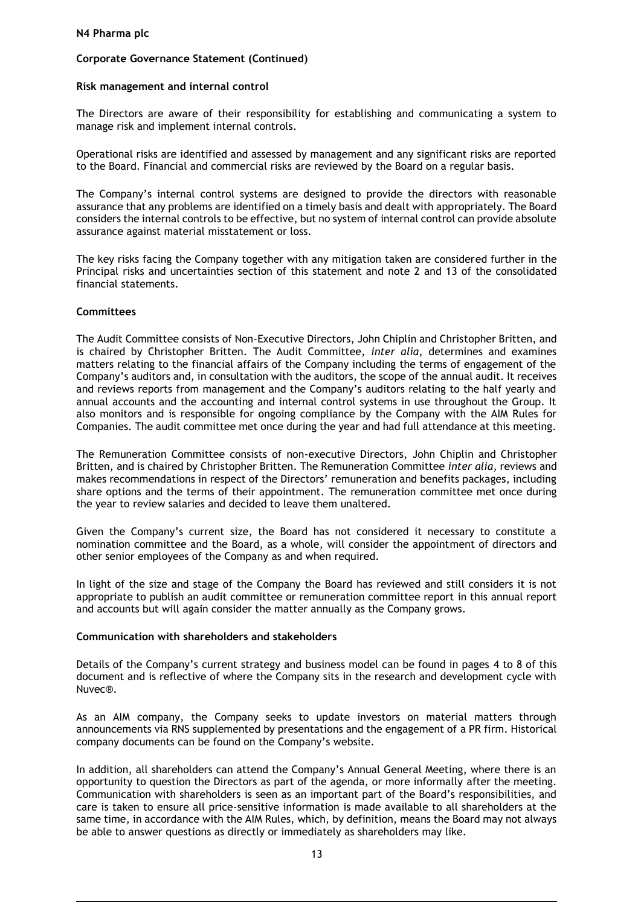## **Corporate Governance Statement (Continued)**

### **Risk management and internal control**

The Directors are aware of their responsibility for establishing and communicating a system to manage risk and implement internal controls.

Operational risks are identified and assessed by management and any significant risks are reported to the Board. Financial and commercial risks are reviewed by the Board on a regular basis.

The Company's internal control systems are designed to provide the directors with reasonable assurance that any problems are identified on a timely basis and dealt with appropriately. The Board considers the internal controls to be effective, but no system of internal control can provide absolute assurance against material misstatement or loss.

The key risks facing the Company together with any mitigation taken are considered further in the Principal risks and uncertainties section of this statement and note 2 and 13 of the consolidated financial statements.

### **Committees**

The Audit Committee consists of Non-Executive Directors, John Chiplin and Christopher Britten, and is chaired by Christopher Britten. The Audit Committee, *inter alia*, determines and examines matters relating to the financial affairs of the Company including the terms of engagement of the Company's auditors and, in consultation with the auditors, the scope of the annual audit. It receives and reviews reports from management and the Company's auditors relating to the half yearly and annual accounts and the accounting and internal control systems in use throughout the Group. It also monitors and is responsible for ongoing compliance by the Company with the AIM Rules for Companies. The audit committee met once during the year and had full attendance at this meeting.

The Remuneration Committee consists of non-executive Directors, John Chiplin and Christopher Britten, and is chaired by Christopher Britten. The Remuneration Committee *inter alia*, reviews and makes recommendations in respect of the Directors' remuneration and benefits packages, including share options and the terms of their appointment. The remuneration committee met once during the year to review salaries and decided to leave them unaltered.

Given the Company's current size, the Board has not considered it necessary to constitute a nomination committee and the Board, as a whole, will consider the appointment of directors and other senior employees of the Company as and when required.

In light of the size and stage of the Company the Board has reviewed and still considers it is not appropriate to publish an audit committee or remuneration committee report in this annual report and accounts but will again consider the matter annually as the Company grows.

#### **Communication with shareholders and stakeholders**

Details of the Company's current strategy and business model can be found in pages 4 to 8 of this document and is reflective of where the Company sits in the research and development cycle with Nuvec®.

As an AIM company, the Company seeks to update investors on material matters through announcements via RNS supplemented by presentations and the engagement of a PR firm. Historical company documents can be found on the Company's website.

In addition, all shareholders can attend the Company's Annual General Meeting, where there is an opportunity to question the Directors as part of the agenda, or more informally after the meeting. Communication with shareholders is seen as an important part of the Board's responsibilities, and care is taken to ensure all price-sensitive information is made available to all shareholders at the same time, in accordance with the AIM Rules, which, by definition, means the Board may not always be able to answer questions as directly or immediately as shareholders may like.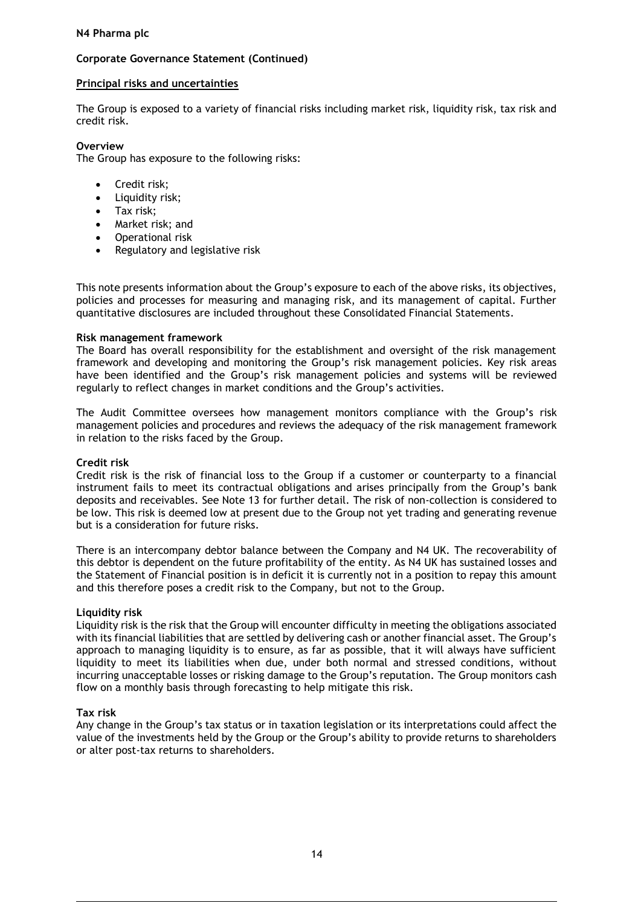## **Corporate Governance Statement (Continued)**

## **Principal risks and uncertainties**

The Group is exposed to a variety of financial risks including market risk, liquidity risk, tax risk and credit risk.

## **Overview**

The Group has exposure to the following risks:

- Credit risk;
- Liquidity risk;
- Tax risk;
- Market risk; and
- Operational risk
- Regulatory and legislative risk

This note presents information about the Group's exposure to each of the above risks, its objectives, policies and processes for measuring and managing risk, and its management of capital. Further quantitative disclosures are included throughout these Consolidated Financial Statements.

### **Risk management framework**

The Board has overall responsibility for the establishment and oversight of the risk management framework and developing and monitoring the Group's risk management policies. Key risk areas have been identified and the Group's risk management policies and systems will be reviewed regularly to reflect changes in market conditions and the Group's activities.

The Audit Committee oversees how management monitors compliance with the Group's risk management policies and procedures and reviews the adequacy of the risk management framework in relation to the risks faced by the Group.

## **Credit risk**

Credit risk is the risk of financial loss to the Group if a customer or counterparty to a financial instrument fails to meet its contractual obligations and arises principally from the Group's bank deposits and receivables. See Note 13 for further detail. The risk of non-collection is considered to be low. This risk is deemed low at present due to the Group not yet trading and generating revenue but is a consideration for future risks.

There is an intercompany debtor balance between the Company and N4 UK. The recoverability of this debtor is dependent on the future profitability of the entity. As N4 UK has sustained losses and the Statement of Financial position is in deficit it is currently not in a position to repay this amount and this therefore poses a credit risk to the Company, but not to the Group.

## **Liquidity risk**

Liquidity risk is the risk that the Group will encounter difficulty in meeting the obligations associated with its financial liabilities that are settled by delivering cash or another financial asset. The Group's approach to managing liquidity is to ensure, as far as possible, that it will always have sufficient liquidity to meet its liabilities when due, under both normal and stressed conditions, without incurring unacceptable losses or risking damage to the Group's reputation. The Group monitors cash flow on a monthly basis through forecasting to help mitigate this risk.

## **Tax risk**

Any change in the Group's tax status or in taxation legislation or its interpretations could affect the value of the investments held by the Group or the Group's ability to provide returns to shareholders or alter post-tax returns to shareholders.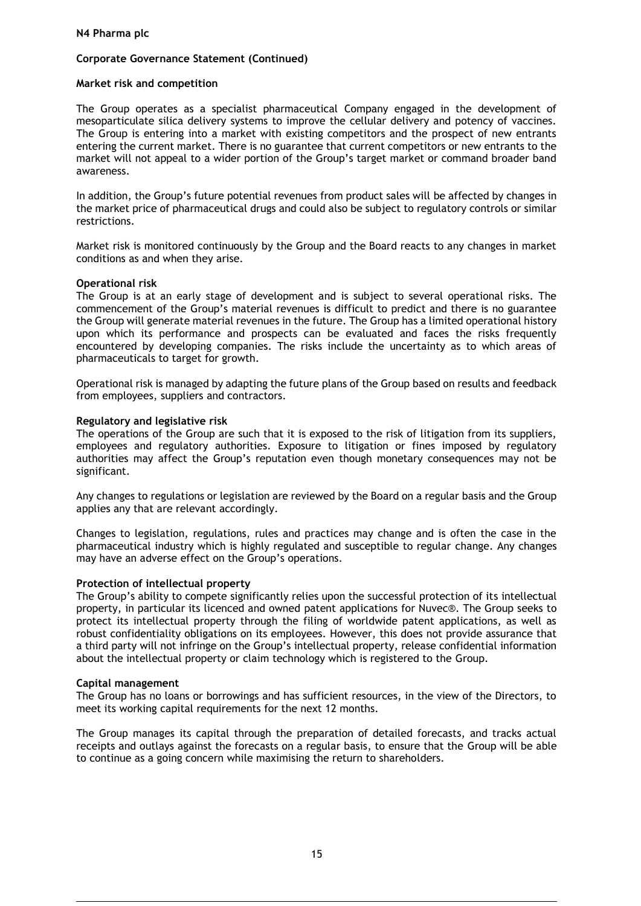## **Corporate Governance Statement (Continued)**

#### **Market risk and competition**

The Group operates as a specialist pharmaceutical Company engaged in the development of mesoparticulate silica delivery systems to improve the cellular delivery and potency of vaccines. The Group is entering into a market with existing competitors and the prospect of new entrants entering the current market. There is no guarantee that current competitors or new entrants to the market will not appeal to a wider portion of the Group's target market or command broader band awareness.

In addition, the Group's future potential revenues from product sales will be affected by changes in the market price of pharmaceutical drugs and could also be subject to regulatory controls or similar restrictions.

Market risk is monitored continuously by the Group and the Board reacts to any changes in market conditions as and when they arise.

#### **Operational risk**

The Group is at an early stage of development and is subject to several operational risks. The commencement of the Group's material revenues is difficult to predict and there is no guarantee the Group will generate material revenues in the future. The Group has a limited operational history upon which its performance and prospects can be evaluated and faces the risks frequently encountered by developing companies. The risks include the uncertainty as to which areas of pharmaceuticals to target for growth.

Operational risk is managed by adapting the future plans of the Group based on results and feedback from employees, suppliers and contractors.

#### **Regulatory and legislative risk**

The operations of the Group are such that it is exposed to the risk of litigation from its suppliers, employees and regulatory authorities. Exposure to litigation or fines imposed by regulatory authorities may affect the Group's reputation even though monetary consequences may not be significant.

Any changes to regulations or legislation are reviewed by the Board on a regular basis and the Group applies any that are relevant accordingly.

Changes to legislation, regulations, rules and practices may change and is often the case in the pharmaceutical industry which is highly regulated and susceptible to regular change. Any changes may have an adverse effect on the Group's operations.

### **Protection of intellectual property**

The Group's ability to compete significantly relies upon the successful protection of its intellectual property, in particular its licenced and owned patent applications for Nuvec®. The Group seeks to protect its intellectual property through the filing of worldwide patent applications, as well as robust confidentiality obligations on its employees. However, this does not provide assurance that a third party will not infringe on the Group's intellectual property, release confidential information about the intellectual property or claim technology which is registered to the Group.

#### **Capital management**

The Group has no loans or borrowings and has sufficient resources, in the view of the Directors, to meet its working capital requirements for the next 12 months.

The Group manages its capital through the preparation of detailed forecasts, and tracks actual receipts and outlays against the forecasts on a regular basis, to ensure that the Group will be able to continue as a going concern while maximising the return to shareholders.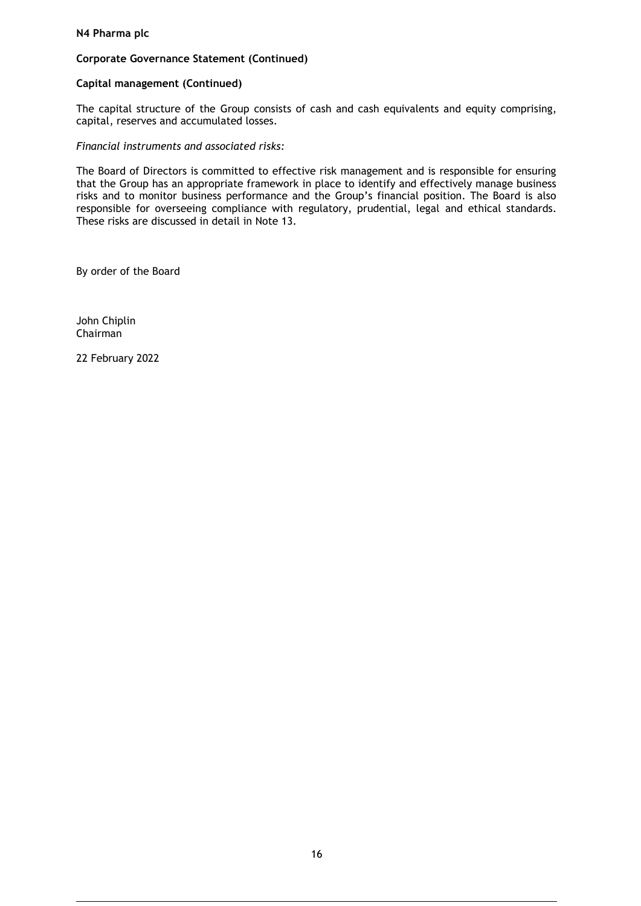## **Corporate Governance Statement (Continued)**

## **Capital management (Continued)**

The capital structure of the Group consists of cash and cash equivalents and equity comprising, capital, reserves and accumulated losses.

## *Financial instruments and associated risks:*

The Board of Directors is committed to effective risk management and is responsible for ensuring that the Group has an appropriate framework in place to identify and effectively manage business risks and to monitor business performance and the Group's financial position. The Board is also responsible for overseeing compliance with regulatory, prudential, legal and ethical standards. These risks are discussed in detail in Note 13.

By order of the Board

John Chiplin Chairman

22 February 2022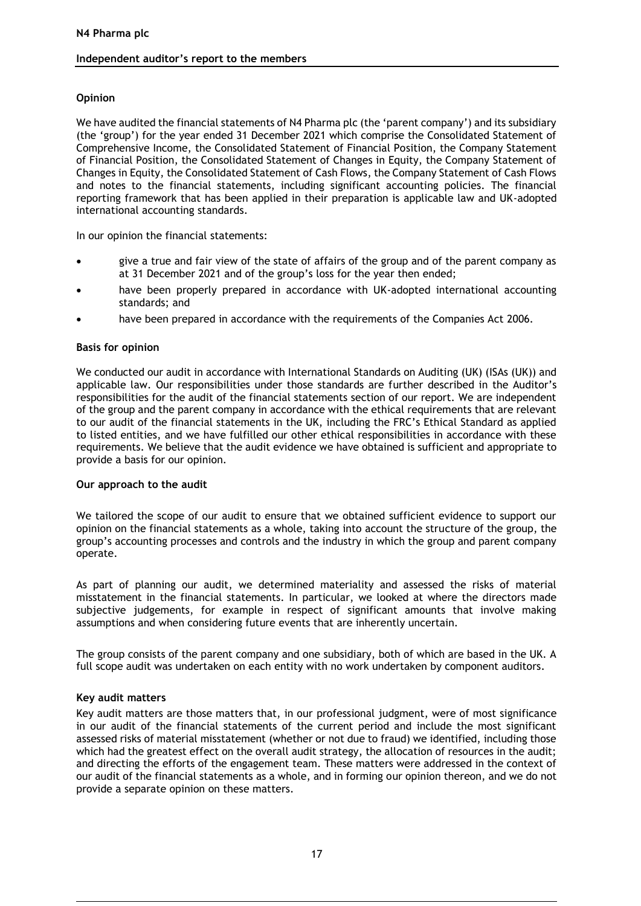## **Independent auditor's report to the members**

## **Opinion**

We have audited the financial statements of N4 Pharma plc (the 'parent company') and its subsidiary (the 'group') for the year ended 31 December 2021 which comprise the Consolidated Statement of Comprehensive Income, the Consolidated Statement of Financial Position, the Company Statement of Financial Position, the Consolidated Statement of Changes in Equity, the Company Statement of Changes in Equity, the Consolidated Statement of Cash Flows, the Company Statement of Cash Flows and notes to the financial statements, including significant accounting policies. The financial reporting framework that has been applied in their preparation is applicable law and UK-adopted international accounting standards.

In our opinion the financial statements:

- give a true and fair view of the state of affairs of the group and of the parent company as at 31 December 2021 and of the group's loss for the year then ended;
- have been properly prepared in accordance with UK-adopted international accounting standards; and
- have been prepared in accordance with the requirements of the Companies Act 2006.

### **Basis for opinion**

We conducted our audit in accordance with International Standards on Auditing (UK) (ISAs (UK)) and applicable law. Our responsibilities under those standards are further described in the Auditor's responsibilities for the audit of the financial statements section of our report. We are independent of the group and the parent company in accordance with the ethical requirements that are relevant to our audit of the financial statements in the UK, including the FRC's Ethical Standard as applied to listed entities, and we have fulfilled our other ethical responsibilities in accordance with these requirements. We believe that the audit evidence we have obtained is sufficient and appropriate to provide a basis for our opinion.

#### **Our approach to the audit**

We tailored the scope of our audit to ensure that we obtained sufficient evidence to support our opinion on the financial statements as a whole, taking into account the structure of the group, the group's accounting processes and controls and the industry in which the group and parent company operate.

As part of planning our audit, we determined materiality and assessed the risks of material misstatement in the financial statements. In particular, we looked at where the directors made subjective judgements, for example in respect of significant amounts that involve making assumptions and when considering future events that are inherently uncertain.

The group consists of the parent company and one subsidiary, both of which are based in the UK. A full scope audit was undertaken on each entity with no work undertaken by component auditors.

## **Key audit matters**

Key audit matters are those matters that, in our professional judgment, were of most significance in our audit of the financial statements of the current period and include the most significant assessed risks of material misstatement (whether or not due to fraud) we identified, including those which had the greatest effect on the overall audit strategy, the allocation of resources in the audit; and directing the efforts of the engagement team. These matters were addressed in the context of our audit of the financial statements as a whole, and in forming our opinion thereon, and we do not provide a separate opinion on these matters.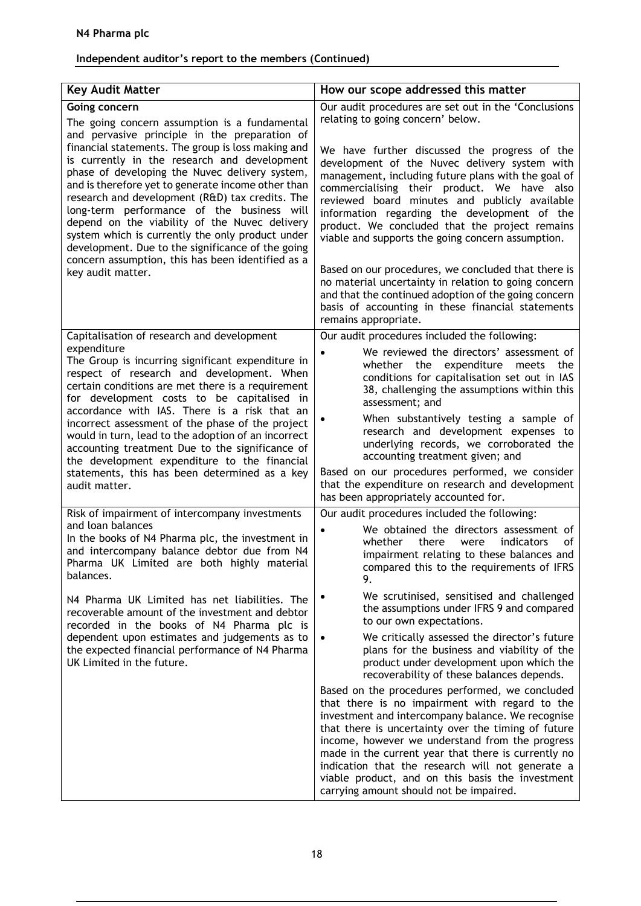| <b>Key Audit Matter</b>                                                                                                                                                                                                                                                                                                                                                                                                                                                                                                                                                                                                                                            | How our scope addressed this matter                                                                                                                                                                                                                                                                                                                                                                                                                                                                                                                                                                                                                                                                                                    |
|--------------------------------------------------------------------------------------------------------------------------------------------------------------------------------------------------------------------------------------------------------------------------------------------------------------------------------------------------------------------------------------------------------------------------------------------------------------------------------------------------------------------------------------------------------------------------------------------------------------------------------------------------------------------|----------------------------------------------------------------------------------------------------------------------------------------------------------------------------------------------------------------------------------------------------------------------------------------------------------------------------------------------------------------------------------------------------------------------------------------------------------------------------------------------------------------------------------------------------------------------------------------------------------------------------------------------------------------------------------------------------------------------------------------|
| Going concern<br>The going concern assumption is a fundamental<br>and pervasive principle in the preparation of<br>financial statements. The group is loss making and<br>is currently in the research and development<br>phase of developing the Nuvec delivery system,<br>and is therefore yet to generate income other than<br>research and development (R&D) tax credits. The<br>long-term performance of the business will<br>depend on the viability of the Nuvec delivery<br>system which is currently the only product under<br>development. Due to the significance of the going<br>concern assumption, this has been identified as a<br>key audit matter. | Our audit procedures are set out in the 'Conclusions'<br>relating to going concern' below.<br>We have further discussed the progress of the<br>development of the Nuvec delivery system with<br>management, including future plans with the goal of<br>commercialising their product. We have also<br>reviewed board minutes and publicly available<br>information regarding the development of the<br>product. We concluded that the project remains<br>viable and supports the going concern assumption.<br>Based on our procedures, we concluded that there is<br>no material uncertainty in relation to going concern<br>and that the continued adoption of the going concern<br>basis of accounting in these financial statements |
|                                                                                                                                                                                                                                                                                                                                                                                                                                                                                                                                                                                                                                                                    | remains appropriate.                                                                                                                                                                                                                                                                                                                                                                                                                                                                                                                                                                                                                                                                                                                   |
| Capitalisation of research and development<br>expenditure<br>The Group is incurring significant expenditure in<br>respect of research and development. When<br>certain conditions are met there is a requirement<br>for development costs to be capitalised in<br>accordance with IAS. There is a risk that an<br>incorrect assessment of the phase of the project<br>would in turn, lead to the adoption of an incorrect                                                                                                                                                                                                                                          | Our audit procedures included the following:<br>We reviewed the directors' assessment of<br>whether the expenditure<br>meets<br>the<br>conditions for capitalisation set out in IAS<br>38, challenging the assumptions within this<br>assessment; and<br>When substantively testing a sample of<br>research and development expenses to<br>underlying records, we corroborated the                                                                                                                                                                                                                                                                                                                                                     |
| accounting treatment Due to the significance of<br>the development expenditure to the financial<br>statements, this has been determined as a key<br>audit matter.                                                                                                                                                                                                                                                                                                                                                                                                                                                                                                  | accounting treatment given; and<br>Based on our procedures performed, we consider<br>that the expenditure on research and development<br>has been appropriately accounted for.                                                                                                                                                                                                                                                                                                                                                                                                                                                                                                                                                         |
| Risk of impairment of intercompany investments<br>and loan balances<br>In the books of N4 Pharma plc, the investment in<br>and intercompany balance debtor due from N4<br>Pharma UK Limited are both highly material<br>balances.                                                                                                                                                                                                                                                                                                                                                                                                                                  | Our audit procedures included the following:<br>We obtained the directors assessment of<br>$\bullet$<br>whether<br>there<br>indicators<br>were<br>of<br>impairment relating to these balances and<br>compared this to the requirements of IFRS<br>9.                                                                                                                                                                                                                                                                                                                                                                                                                                                                                   |
| N4 Pharma UK Limited has net liabilities. The<br>recoverable amount of the investment and debtor<br>recorded in the books of N4 Pharma plc is<br>dependent upon estimates and judgements as to<br>the expected financial performance of N4 Pharma<br>UK Limited in the future.                                                                                                                                                                                                                                                                                                                                                                                     | We scrutinised, sensitised and challenged<br>the assumptions under IFRS 9 and compared<br>to our own expectations.<br>We critically assessed the director's future<br>plans for the business and viability of the<br>product under development upon which the<br>recoverability of these balances depends.                                                                                                                                                                                                                                                                                                                                                                                                                             |
|                                                                                                                                                                                                                                                                                                                                                                                                                                                                                                                                                                                                                                                                    | Based on the procedures performed, we concluded<br>that there is no impairment with regard to the<br>investment and intercompany balance. We recognise<br>that there is uncertainty over the timing of future<br>income, however we understand from the progress<br>made in the current year that there is currently no<br>indication that the research will not generate a<br>viable product, and on this basis the investment<br>carrying amount should not be impaired.                                                                                                                                                                                                                                                             |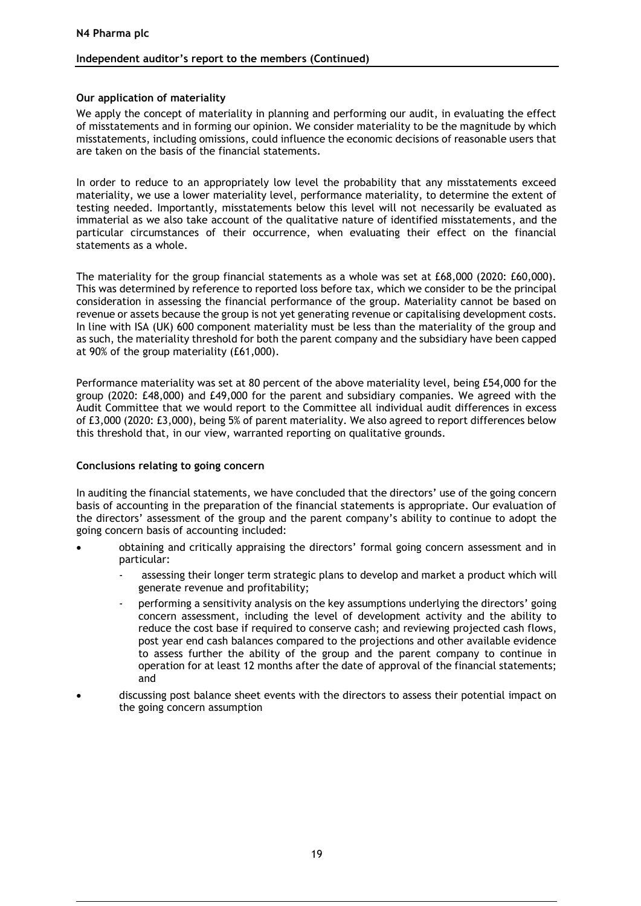### **Our application of materiality**

We apply the concept of materiality in planning and performing our audit, in evaluating the effect of misstatements and in forming our opinion. We consider materiality to be the magnitude by which misstatements, including omissions, could influence the economic decisions of reasonable users that are taken on the basis of the financial statements.

In order to reduce to an appropriately low level the probability that any misstatements exceed materiality, we use a lower materiality level, performance materiality, to determine the extent of testing needed. Importantly, misstatements below this level will not necessarily be evaluated as immaterial as we also take account of the qualitative nature of identified misstatements, and the particular circumstances of their occurrence, when evaluating their effect on the financial statements as a whole.

The materiality for the group financial statements as a whole was set at £68,000 (2020: £60,000). This was determined by reference to reported loss before tax, which we consider to be the principal consideration in assessing the financial performance of the group. Materiality cannot be based on revenue or assets because the group is not yet generating revenue or capitalising development costs. In line with ISA (UK) 600 component materiality must be less than the materiality of the group and as such, the materiality threshold for both the parent company and the subsidiary have been capped at 90% of the group materiality (£61,000).

Performance materiality was set at 80 percent of the above materiality level, being £54,000 for the group (2020: £48,000) and £49,000 for the parent and subsidiary companies. We agreed with the Audit Committee that we would report to the Committee all individual audit differences in excess of £3,000 (2020: £3,000), being 5% of parent materiality. We also agreed to report differences below this threshold that, in our view, warranted reporting on qualitative grounds.

## **Conclusions relating to going concern**

In auditing the financial statements, we have concluded that the directors' use of the going concern basis of accounting in the preparation of the financial statements is appropriate. Our evaluation of the directors' assessment of the group and the parent company's ability to continue to adopt the going concern basis of accounting included:

- obtaining and critically appraising the directors' formal going concern assessment and in particular:
	- assessing their longer term strategic plans to develop and market a product which will generate revenue and profitability;
	- performing a sensitivity analysis on the key assumptions underlying the directors' going concern assessment, including the level of development activity and the ability to reduce the cost base if required to conserve cash; and reviewing projected cash flows, post year end cash balances compared to the projections and other available evidence to assess further the ability of the group and the parent company to continue in operation for at least 12 months after the date of approval of the financial statements; and
- discussing post balance sheet events with the directors to assess their potential impact on the going concern assumption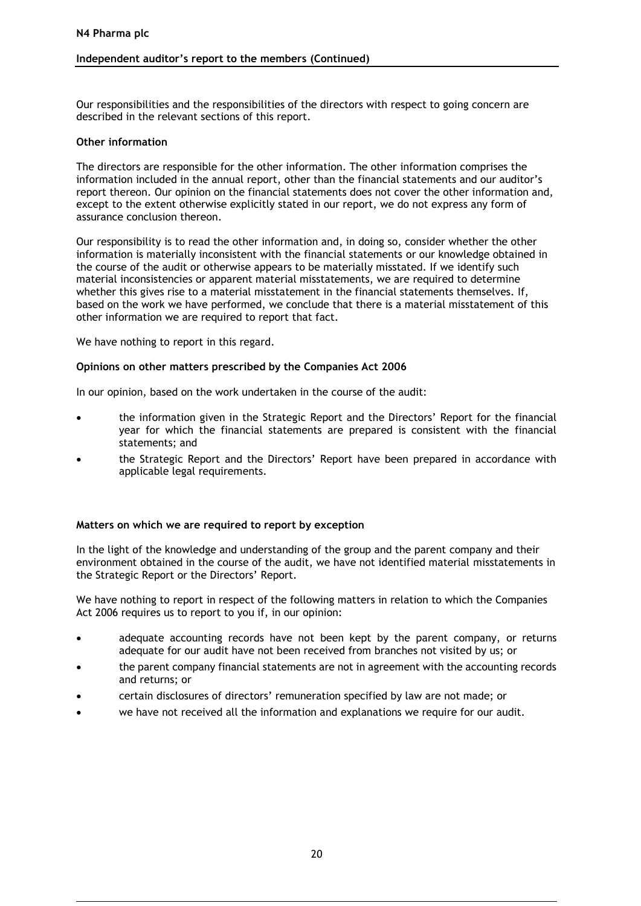Our responsibilities and the responsibilities of the directors with respect to going concern are described in the relevant sections of this report.

### **Other information**

The directors are responsible for the other information. The other information comprises the information included in the annual report, other than the financial statements and our auditor's report thereon. Our opinion on the financial statements does not cover the other information and, except to the extent otherwise explicitly stated in our report, we do not express any form of assurance conclusion thereon.

Our responsibility is to read the other information and, in doing so, consider whether the other information is materially inconsistent with the financial statements or our knowledge obtained in the course of the audit or otherwise appears to be materially misstated. If we identify such material inconsistencies or apparent material misstatements, we are required to determine whether this gives rise to a material misstatement in the financial statements themselves. If, based on the work we have performed, we conclude that there is a material misstatement of this other information we are required to report that fact.

We have nothing to report in this regard.

### **Opinions on other matters prescribed by the Companies Act 2006**

In our opinion, based on the work undertaken in the course of the audit:

- the information given in the Strategic Report and the Directors' Report for the financial year for which the financial statements are prepared is consistent with the financial statements; and
- the Strategic Report and the Directors' Report have been prepared in accordance with applicable legal requirements.

#### **Matters on which we are required to report by exception**

In the light of the knowledge and understanding of the group and the parent company and their environment obtained in the course of the audit, we have not identified material misstatements in the Strategic Report or the Directors' Report.

We have nothing to report in respect of the following matters in relation to which the Companies Act 2006 requires us to report to you if, in our opinion:

- adequate accounting records have not been kept by the parent company, or returns adequate for our audit have not been received from branches not visited by us; or
- the parent company financial statements are not in agreement with the accounting records and returns; or
- certain disclosures of directors' remuneration specified by law are not made; or
- we have not received all the information and explanations we require for our audit.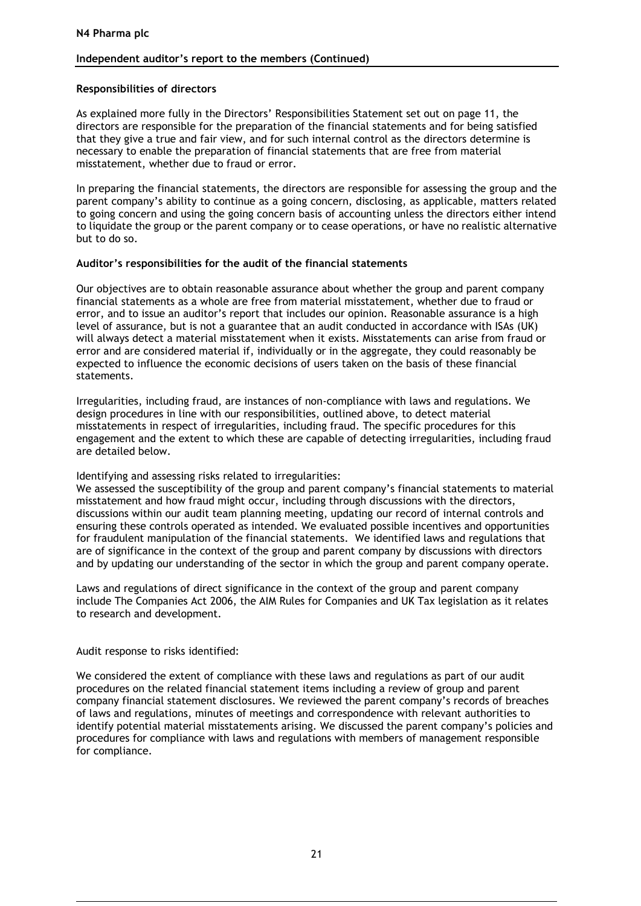## **Independent auditor's report to the members (Continued)**

### **Responsibilities of directors**

As explained more fully in the Directors' Responsibilities Statement set out on page 11, the directors are responsible for the preparation of the financial statements and for being satisfied that they give a true and fair view, and for such internal control as the directors determine is necessary to enable the preparation of financial statements that are free from material misstatement, whether due to fraud or error.

In preparing the financial statements, the directors are responsible for assessing the group and the parent company's ability to continue as a going concern, disclosing, as applicable, matters related to going concern and using the going concern basis of accounting unless the directors either intend to liquidate the group or the parent company or to cease operations, or have no realistic alternative but to do so.

### **Auditor's responsibilities for the audit of the financial statements**

Our objectives are to obtain reasonable assurance about whether the group and parent company financial statements as a whole are free from material misstatement, whether due to fraud or error, and to issue an auditor's report that includes our opinion. Reasonable assurance is a high level of assurance, but is not a guarantee that an audit conducted in accordance with ISAs (UK) will always detect a material misstatement when it exists. Misstatements can arise from fraud or error and are considered material if, individually or in the aggregate, they could reasonably be expected to influence the economic decisions of users taken on the basis of these financial statements.

Irregularities, including fraud, are instances of non-compliance with laws and regulations. We design procedures in line with our responsibilities, outlined above, to detect material misstatements in respect of irregularities, including fraud. The specific procedures for this engagement and the extent to which these are capable of detecting irregularities, including fraud are detailed below.

## Identifying and assessing risks related to irregularities:

We assessed the susceptibility of the group and parent company's financial statements to material misstatement and how fraud might occur, including through discussions with the directors, discussions within our audit team planning meeting, updating our record of internal controls and ensuring these controls operated as intended. We evaluated possible incentives and opportunities for fraudulent manipulation of the financial statements. We identified laws and regulations that are of significance in the context of the group and parent company by discussions with directors and by updating our understanding of the sector in which the group and parent company operate.

Laws and regulations of direct significance in the context of the group and parent company include The Companies Act 2006, the AIM Rules for Companies and UK Tax legislation as it relates to research and development.

#### Audit response to risks identified:

We considered the extent of compliance with these laws and regulations as part of our audit procedures on the related financial statement items including a review of group and parent company financial statement disclosures. We reviewed the parent company's records of breaches of laws and regulations, minutes of meetings and correspondence with relevant authorities to identify potential material misstatements arising. We discussed the parent company's policies and procedures for compliance with laws and regulations with members of management responsible for compliance.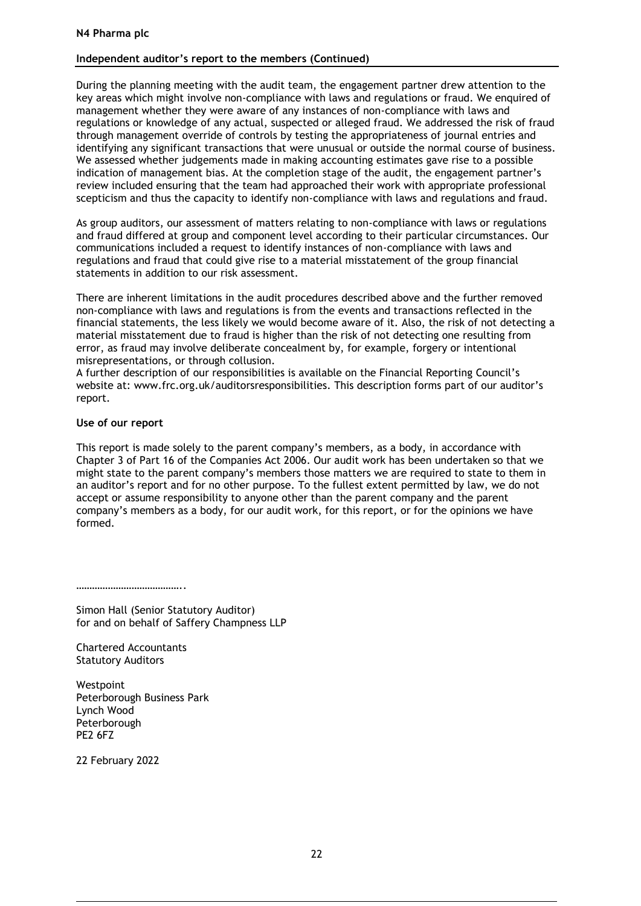During the planning meeting with the audit team, the engagement partner drew attention to the key areas which might involve non-compliance with laws and regulations or fraud. We enquired of management whether they were aware of any instances of non-compliance with laws and regulations or knowledge of any actual, suspected or alleged fraud. We addressed the risk of fraud through management override of controls by testing the appropriateness of journal entries and identifying any significant transactions that were unusual or outside the normal course of business. We assessed whether judgements made in making accounting estimates gave rise to a possible indication of management bias. At the completion stage of the audit, the engagement partner's review included ensuring that the team had approached their work with appropriate professional scepticism and thus the capacity to identify non-compliance with laws and regulations and fraud.

As group auditors, our assessment of matters relating to non-compliance with laws or regulations and fraud differed at group and component level according to their particular circumstances. Our communications included a request to identify instances of non-compliance with laws and regulations and fraud that could give rise to a material misstatement of the group financial statements in addition to our risk assessment.

There are inherent limitations in the audit procedures described above and the further removed non-compliance with laws and regulations is from the events and transactions reflected in the financial statements, the less likely we would become aware of it. Also, the risk of not detecting a material misstatement due to fraud is higher than the risk of not detecting one resulting from error, as fraud may involve deliberate concealment by, for example, forgery or intentional misrepresentations, or through collusion.

A further description of our responsibilities is available on the Financial Reporting Council's website at: www.frc.org.uk/auditorsresponsibilities. This description forms part of our auditor's report.

#### **Use of our report**

This report is made solely to the parent company's members, as a body, in accordance with Chapter 3 of Part 16 of the Companies Act 2006. Our audit work has been undertaken so that we might state to the parent company's members those matters we are required to state to them in an auditor's report and for no other purpose. To the fullest extent permitted by law, we do not accept or assume responsibility to anyone other than the parent company and the parent company's members as a body, for our audit work, for this report, or for the opinions we have formed.

……………………………………

Simon Hall (Senior Statutory Auditor) for and on behalf of Saffery Champness LLP

Chartered Accountants Statutory Auditors

Westpoint Peterborough Business Park Lynch Wood Peterborough PE2 6FZ

22 February 2022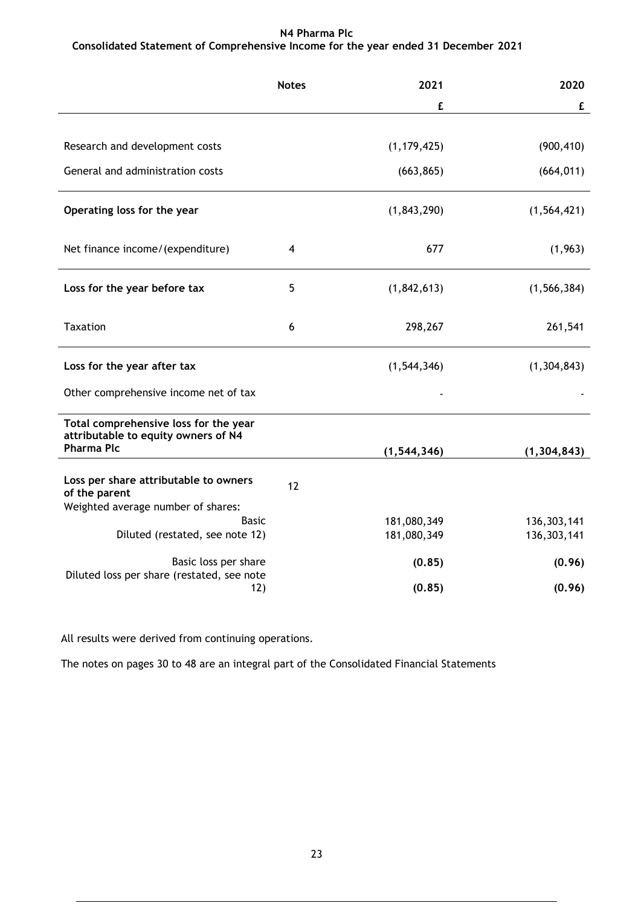# **N4 Pharma Plc Consolidated Statement of Comprehensive Income for the year ended 31 December 2021**

|                                                                              | <b>Notes</b> | 2021          | 2020          |
|------------------------------------------------------------------------------|--------------|---------------|---------------|
|                                                                              |              | £             | £             |
|                                                                              |              |               |               |
| Research and development costs                                               |              | (1, 179, 425) | (900, 410)    |
| General and administration costs                                             |              | (663, 865)    | (664, 011)    |
| Operating loss for the year                                                  |              | (1, 843, 290) | (1, 564, 421) |
| Net finance income/(expenditure)                                             | 4            | 677           | (1, 963)      |
| Loss for the year before tax                                                 | 5            | (1, 842, 613) | (1, 566, 384) |
| <b>Taxation</b>                                                              | 6            | 298,267       | 261,541       |
| Loss for the year after tax                                                  |              | (1, 544, 346) | (1, 304, 843) |
| Other comprehensive income net of tax                                        |              |               |               |
| Total comprehensive loss for the year<br>attributable to equity owners of N4 |              |               |               |
| <b>Pharma Plc</b>                                                            |              | (1, 544, 346) | (1, 304, 843) |
| Loss per share attributable to owners<br>of the parent                       | 12           |               |               |
| Weighted average number of shares:<br>Basic                                  |              | 181,080,349   | 136, 303, 141 |
| Diluted (restated, see note 12)                                              |              | 181,080,349   | 136, 303, 141 |
| Basic loss per share<br>Diluted loss per share (restated, see note           |              | (0.85)        | (0.96)        |
| 12)                                                                          |              | (0.85)        | (0.96)        |

All results were derived from continuing operations.

The notes on pages 30 to 48 are an integral part of the Consolidated Financial Statements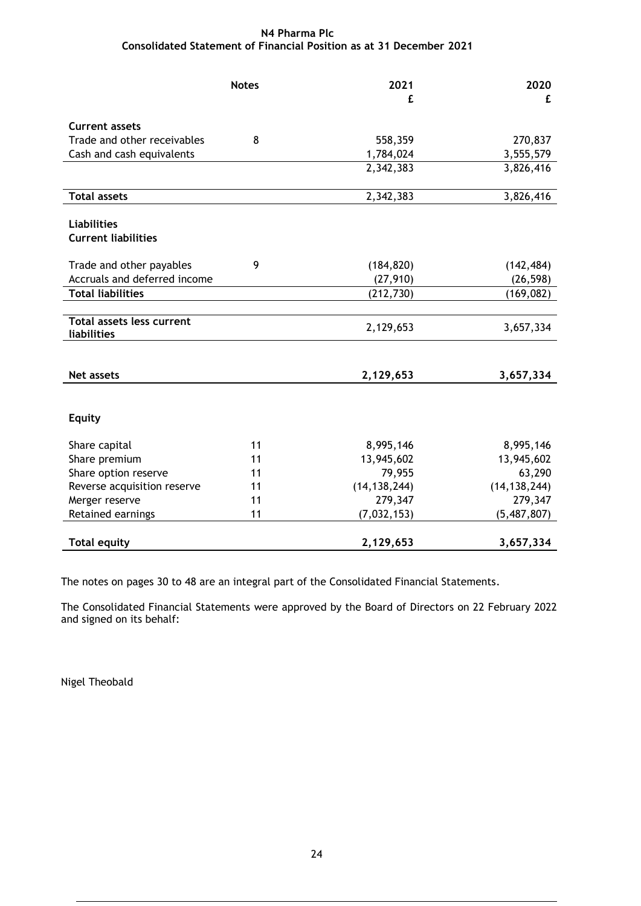# **N4 Pharma Plc Consolidated Statement of Financial Position as at 31 December 2021**

|                                                      | <b>Notes</b> | 2021                   | 2020                   |
|------------------------------------------------------|--------------|------------------------|------------------------|
|                                                      |              | £                      | £                      |
|                                                      |              |                        |                        |
| <b>Current assets</b><br>Trade and other receivables | 8            |                        | 270,837                |
|                                                      |              | 558,359                |                        |
| Cash and cash equivalents                            |              | 1,784,024<br>2,342,383 | 3,555,579<br>3,826,416 |
|                                                      |              |                        |                        |
| <b>Total assets</b>                                  |              | 2,342,383              | 3,826,416              |
|                                                      |              |                        |                        |
| <b>Liabilities</b><br><b>Current liabilities</b>     |              |                        |                        |
|                                                      |              |                        |                        |
| Trade and other payables                             | 9            | (184, 820)             | (142, 484)             |
| Accruals and deferred income                         |              | (27, 910)              | (26, 598)              |
| <b>Total liabilities</b>                             |              | (212, 730)             | (169, 082)             |
|                                                      |              |                        |                        |
| <b>Total assets less current</b><br>liabilities      |              | 2,129,653              | 3,657,334              |
|                                                      |              |                        |                        |
| Net assets                                           |              | 2,129,653              | 3,657,334              |
|                                                      |              |                        |                        |
| <b>Equity</b>                                        |              |                        |                        |
| Share capital                                        | 11           | 8,995,146              | 8,995,146              |
| Share premium                                        | 11           | 13,945,602             | 13,945,602             |
| Share option reserve                                 | 11           | 79,955                 | 63,290                 |
| Reverse acquisition reserve                          | 11           | (14, 138, 244)         | (14, 138, 244)         |
| Merger reserve                                       | 11           | 279,347                | 279,347                |
| Retained earnings                                    | 11           | (7,032,153)            | (5,487,807)            |
| <b>Total equity</b>                                  |              | 2,129,653              | 3,657,334              |

The notes on pages 30 to 48 are an integral part of the Consolidated Financial Statements.

The Consolidated Financial Statements were approved by the Board of Directors on 22 February 2022 and signed on its behalf:

Nigel Theobald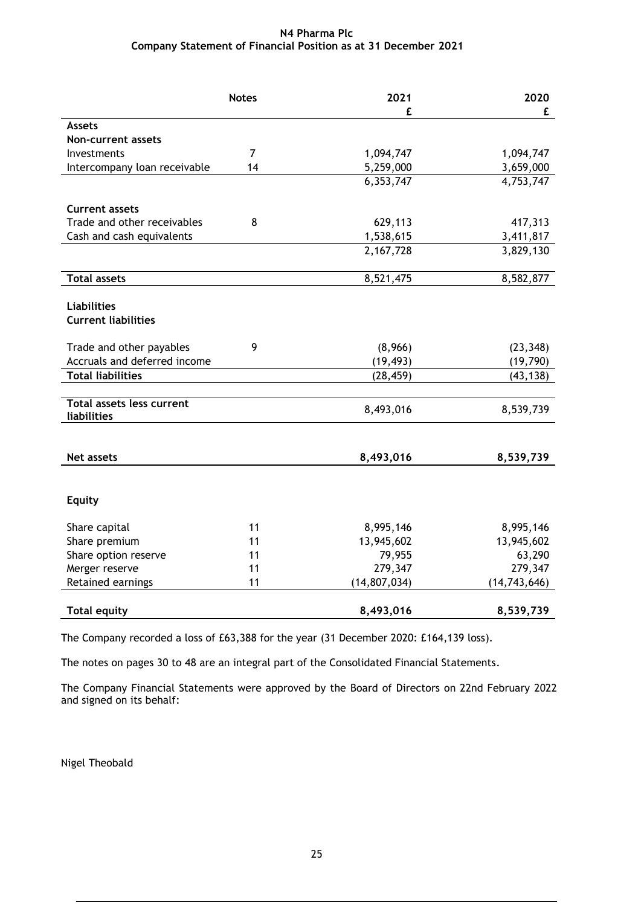## **N4 Pharma Plc Company Statement of Financial Position as at 31 December 2021**

|                              | <b>Notes</b> | 2021           | 2020           |
|------------------------------|--------------|----------------|----------------|
|                              |              | £              | £              |
| <b>Assets</b>                |              |                |                |
| <b>Non-current assets</b>    |              |                |                |
| Investments                  | 7            | 1,094,747      | 1,094,747      |
| Intercompany loan receivable | 14           | 5,259,000      | 3,659,000      |
|                              |              | 6,353,747      | 4,753,747      |
| <b>Current assets</b>        |              |                |                |
| Trade and other receivables  | 8            | 629,113        | 417,313        |
| Cash and cash equivalents    |              | 1,538,615      | 3,411,817      |
|                              |              | 2,167,728      | 3,829,130      |
| <b>Total assets</b>          |              | 8,521,475      | 8,582,877      |
|                              |              |                |                |
| <b>Liabilities</b>           |              |                |                |
| <b>Current liabilities</b>   |              |                |                |
| Trade and other payables     | 9            | (8,966)        | (23, 348)      |
| Accruals and deferred income |              | (19, 493)      | (19, 790)      |
| <b>Total liabilities</b>     |              | (28, 459)      | (43, 138)      |
|                              |              |                |                |
| Total assets less current    |              |                |                |
| liabilities                  |              | 8,493,016      | 8,539,739      |
|                              |              |                |                |
| <b>Net assets</b>            |              | 8,493,016      | 8,539,739      |
|                              |              |                |                |
| <b>Equity</b>                |              |                |                |
|                              |              |                |                |
| Share capital                | 11           | 8,995,146      | 8,995,146      |
| Share premium                | 11           | 13,945,602     | 13,945,602     |
| Share option reserve         | 11           | 79,955         | 63,290         |
| Merger reserve               | 11           | 279,347        | 279,347        |
| Retained earnings            | 11           | (14, 807, 034) | (14, 743, 646) |
| <b>Total equity</b>          |              | 8,493,016      | 8,539,739      |
|                              |              |                |                |

The Company recorded a loss of £63,388 for the year (31 December 2020: £164,139 loss).

The notes on pages 30 to 48 are an integral part of the Consolidated Financial Statements.

The Company Financial Statements were approved by the Board of Directors on 22nd February 2022 and signed on its behalf:

Nigel Theobald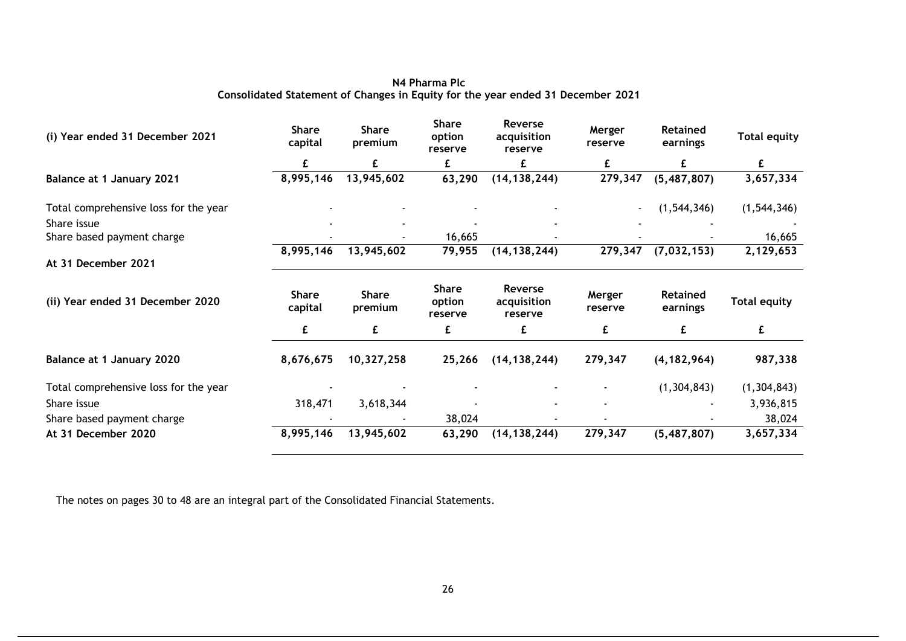| N4 Pharma Plc                                                                   |  |
|---------------------------------------------------------------------------------|--|
| Consolidated Statement of Changes in Equity for the year ended 31 December 2021 |  |

| (i) Year ended 31 December 2021       | <b>Share</b><br>capital | <b>Share</b><br>premium | <b>Share</b><br>option<br>reserve | Reverse<br>acquisition<br>reserve | Merger<br>reserve | Retained<br>earnings        | <b>Total equity</b>       |
|---------------------------------------|-------------------------|-------------------------|-----------------------------------|-----------------------------------|-------------------|-----------------------------|---------------------------|
|                                       |                         |                         | £                                 | £                                 | £                 |                             | £                         |
| Balance at 1 January 2021             | 8,995,146               | 13,945,602              | 63,290                            | (14, 138, 244)                    | 279,347           | (5,487,807)                 | 3,657,334                 |
| Total comprehensive loss for the year |                         |                         |                                   |                                   | $\blacksquare$    | (1, 544, 346)               | (1, 544, 346)             |
| Share issue                           |                         |                         |                                   |                                   |                   |                             |                           |
| Share based payment charge            |                         |                         | 16,665                            |                                   |                   |                             | 16,665                    |
| At 31 December 2021                   | 8,995,146               | 13,945,602              | 79,955                            | (14, 138, 244)                    | 279,347           | (7,032,153)                 | $\overline{2}$ , 129, 653 |
|                                       |                         |                         |                                   |                                   |                   |                             |                           |
| (ii) Year ended 31 December 2020      | <b>Share</b><br>capital | <b>Share</b><br>premium | <b>Share</b><br>option<br>reserve | Reverse<br>acquisition<br>reserve | Merger<br>reserve | <b>Retained</b><br>earnings | <b>Total equity</b>       |
|                                       | £                       | £                       | £                                 | £                                 | £                 | £                           | £                         |
| Balance at 1 January 2020             | 8,676,675               | 10,327,258              | 25,266                            | (14, 138, 244)                    | 279,347           | (4, 182, 964)               | 987,338                   |
| Total comprehensive loss for the year |                         |                         |                                   |                                   |                   | (1, 304, 843)               | (1, 304, 843)             |
| Share issue                           | 318,471                 | 3,618,344               |                                   |                                   |                   |                             | 3,936,815                 |
| Share based payment charge            |                         |                         | 38,024                            |                                   |                   |                             | 38,024                    |
| At 31 December 2020                   | 8,995,146               | 13,945,602              | 63,290                            | (14, 138, 244)                    | 279,347           | (5,487,807)                 | 3,657,334                 |

The notes on pages 30 to 48 are an integral part of the Consolidated Financial Statements.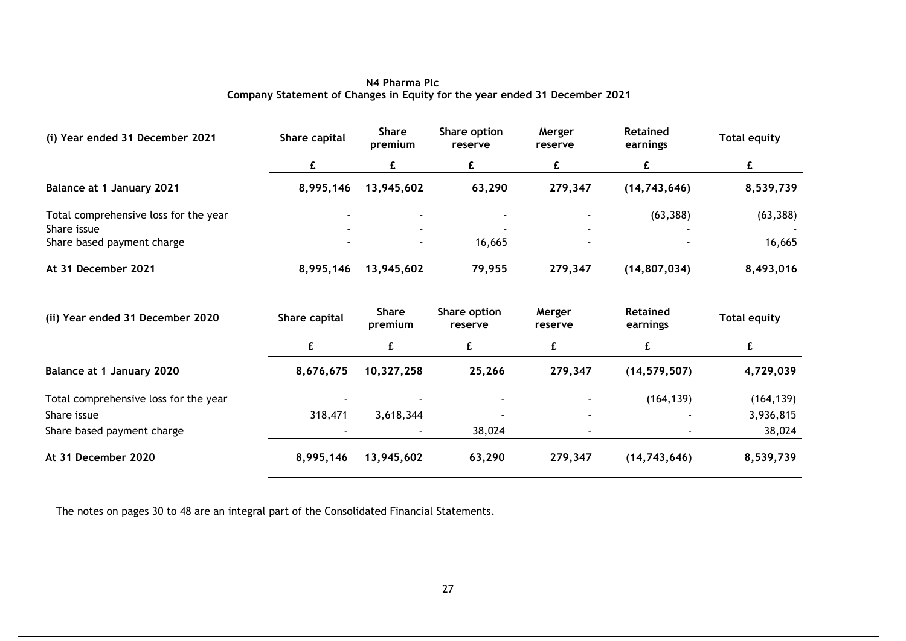## **N4 Pharma Plc Company Statement of Changes in Equity for the year ended 31 December 2021**

| (i) Year ended 31 December 2021           | Share capital | <b>Share</b><br>premium | Share option<br>reserve | Merger<br>reserve | Retained<br>earnings | <b>Total equity</b> |
|-------------------------------------------|---------------|-------------------------|-------------------------|-------------------|----------------------|---------------------|
|                                           | £             | £                       | £                       | £                 | £                    | £                   |
| <b>Balance at 1 January 2021</b>          | 8,995,146     | 13,945,602              | 63,290                  | 279,347           | (14, 743, 646)       | 8,539,739           |
| Total comprehensive loss for the year     |               |                         |                         |                   | (63, 388)            | (63, 388)           |
| Share issue<br>Share based payment charge |               |                         | 16,665                  |                   |                      | 16,665              |
| At 31 December 2021                       | 8,995,146     | 13,945,602              | 79,955                  | 279,347           | (14, 807, 034)       | 8,493,016           |
|                                           |               |                         |                         |                   |                      |                     |
| (ii) Year ended 31 December 2020          | Share capital | <b>Share</b><br>premium | Share option<br>reserve | Merger<br>reserve | Retained<br>earnings | <b>Total equity</b> |
|                                           | £             | £                       | £                       | £                 | £                    | £                   |
| Balance at 1 January 2020                 | 8,676,675     | 10,327,258              | 25,266                  | 279,347           | (14, 579, 507)       | 4,729,039           |
| Total comprehensive loss for the year     |               |                         |                         |                   | (164, 139)           | (164, 139)          |
| Share issue                               | 318,471       | 3,618,344               |                         |                   |                      | 3,936,815           |
| Share based payment charge                |               |                         | 38,024                  |                   |                      | 38,024              |

The notes on pages 30 to 48 are an integral part of the Consolidated Financial Statements.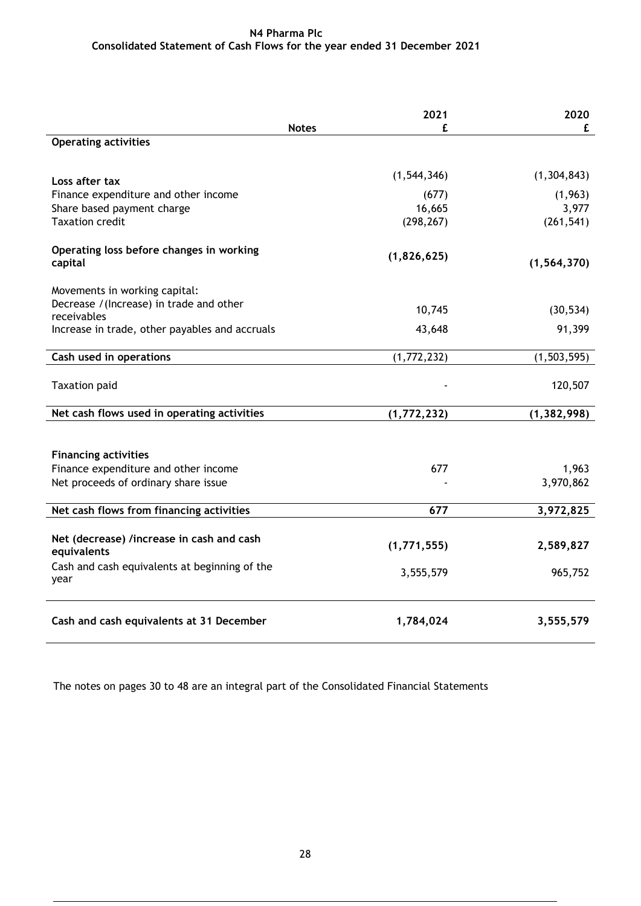# **N4 Pharma Plc Consolidated Statement of Cash Flows for the year ended 31 December 2021**

|                                                                          |              | 2021          | 2020          |
|--------------------------------------------------------------------------|--------------|---------------|---------------|
|                                                                          | <b>Notes</b> | £             | £             |
| <b>Operating activities</b>                                              |              |               |               |
|                                                                          |              |               |               |
| Loss after tax                                                           |              | (1, 544, 346) | (1, 304, 843) |
| Finance expenditure and other income                                     |              | (677)         | (1,963)       |
| Share based payment charge                                               |              | 16,665        | 3,977         |
| <b>Taxation credit</b>                                                   |              | (298, 267)    | (261, 541)    |
|                                                                          |              |               |               |
| Operating loss before changes in working                                 |              | (1,826,625)   |               |
| capital                                                                  |              |               | (1, 564, 370) |
|                                                                          |              |               |               |
| Movements in working capital:<br>Decrease /(Increase) in trade and other |              |               |               |
| receivables                                                              |              | 10,745        | (30, 534)     |
| Increase in trade, other payables and accruals                           |              | 43,648        | 91,399        |
|                                                                          |              |               |               |
| Cash used in operations                                                  |              | (1,772,232)   | (1, 503, 595) |
|                                                                          |              |               |               |
| <b>Taxation paid</b>                                                     |              |               | 120,507       |
| Net cash flows used in operating activities                              |              |               |               |
|                                                                          |              | (1, 772, 232) | (1, 382, 998) |
|                                                                          |              |               |               |
| <b>Financing activities</b>                                              |              |               |               |
| Finance expenditure and other income                                     |              | 677           | 1,963         |
| Net proceeds of ordinary share issue                                     |              |               | 3,970,862     |
|                                                                          |              |               |               |
| Net cash flows from financing activities                                 |              | 677           | 3,972,825     |
|                                                                          |              |               |               |
| Net (decrease) /increase in cash and cash<br>equivalents                 |              | (1,771,555)   | 2,589,827     |
|                                                                          |              |               |               |
| Cash and cash equivalents at beginning of the<br>year                    |              | 3,555,579     | 965,752       |
|                                                                          |              |               |               |
|                                                                          |              |               |               |
| Cash and cash equivalents at 31 December                                 |              | 1,784,024     | 3,555,579     |
|                                                                          |              |               |               |

The notes on pages 30 to 48 are an integral part of the Consolidated Financial Statements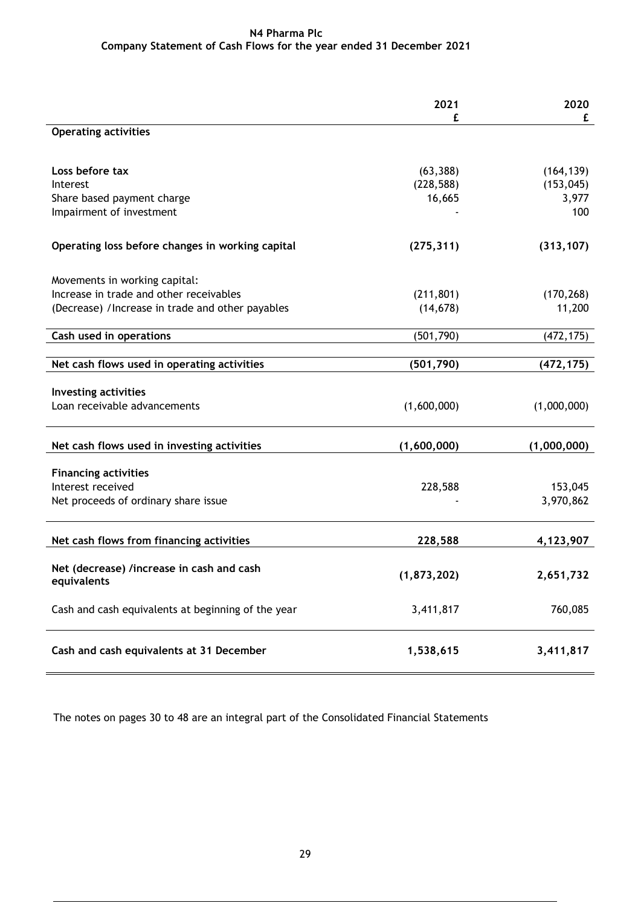# **N4 Pharma Plc Company Statement of Cash Flows for the year ended 31 December 2021**

|                                                          | 2021<br>£     | 2020<br>£            |
|----------------------------------------------------------|---------------|----------------------|
| <b>Operating activities</b>                              |               |                      |
|                                                          |               |                      |
| Loss before tax                                          | (63, 388)     | (164, 139)           |
| Interest                                                 | (228, 588)    | (153, 045)           |
| Share based payment charge<br>Impairment of investment   | 16,665        | 3,977<br>100         |
|                                                          |               |                      |
| Operating loss before changes in working capital         | (275, 311)    | (313, 107)           |
| Movements in working capital:                            |               |                      |
| Increase in trade and other receivables                  | (211, 801)    | (170, 268)           |
| (Decrease) / Increase in trade and other payables        | (14, 678)     | 11,200               |
| Cash used in operations                                  | (501, 790)    | (472, 175)           |
|                                                          |               |                      |
| Net cash flows used in operating activities              | (501, 790)    | (472, 175)           |
| <b>Investing activities</b>                              |               |                      |
| Loan receivable advancements                             | (1,600,000)   | (1,000,000)          |
|                                                          |               |                      |
| Net cash flows used in investing activities              | (1,600,000)   | (1,000,000)          |
|                                                          |               |                      |
| <b>Financing activities</b><br>Interest received         |               |                      |
| Net proceeds of ordinary share issue                     | 228,588       | 153,045<br>3,970,862 |
|                                                          |               |                      |
| Net cash flows from financing activities                 | 228,588       | 4,123,907            |
|                                                          |               |                      |
| Net (decrease) /increase in cash and cash<br>equivalents | (1, 873, 202) | 2,651,732            |
| Cash and cash equivalents at beginning of the year       | 3,411,817     | 760,085              |
|                                                          |               |                      |
| Cash and cash equivalents at 31 December                 | 1,538,615     | 3,411,817            |

The notes on pages 30 to 48 are an integral part of the Consolidated Financial Statements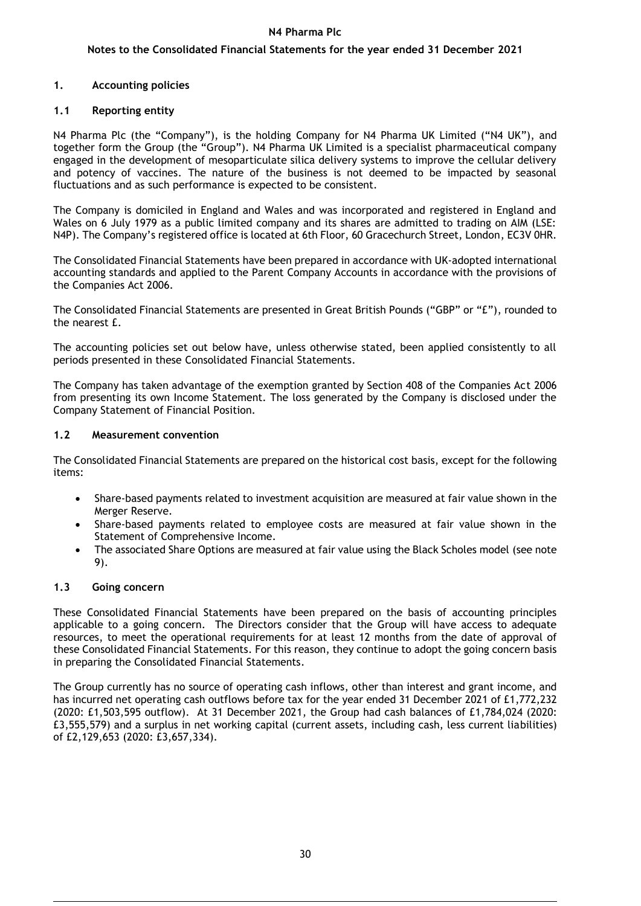# **Notes to the Consolidated Financial Statements for the year ended 31 December 2021**

## **1. Accounting policies**

## **1.1 Reporting entity**

N4 Pharma Plc (the "Company"), is the holding Company for N4 Pharma UK Limited ("N4 UK"), and together form the Group (the "Group"). N4 Pharma UK Limited is a specialist pharmaceutical company engaged in the development of mesoparticulate silica delivery systems to improve the cellular delivery and potency of vaccines. The nature of the business is not deemed to be impacted by seasonal fluctuations and as such performance is expected to be consistent.

The Company is domiciled in England and Wales and was incorporated and registered in England and Wales on 6 July 1979 as a public limited company and its shares are admitted to trading on AIM (LSE: N4P). The Company's registered office is located at 6th Floor, 60 Gracechurch Street, London, EC3V 0HR.

The Consolidated Financial Statements have been prepared in accordance with UK-adopted international accounting standards and applied to the Parent Company Accounts in accordance with the provisions of the Companies Act 2006.

The Consolidated Financial Statements are presented in Great British Pounds ("GBP" or "£"), rounded to the nearest £.

The accounting policies set out below have, unless otherwise stated, been applied consistently to all periods presented in these Consolidated Financial Statements.

The Company has taken advantage of the exemption granted by Section 408 of the Companies Act 2006 from presenting its own Income Statement. The loss generated by the Company is disclosed under the Company Statement of Financial Position.

## **1.2 Measurement convention**

The Consolidated Financial Statements are prepared on the historical cost basis, except for the following items:

- Share-based payments related to investment acquisition are measured at fair value shown in the Merger Reserve.
- Share-based payments related to employee costs are measured at fair value shown in the Statement of Comprehensive Income.
- The associated Share Options are measured at fair value using the Black Scholes model (see note 9).

## **1.3 Going concern**

These Consolidated Financial Statements have been prepared on the basis of accounting principles applicable to a going concern. The Directors consider that the Group will have access to adequate resources, to meet the operational requirements for at least 12 months from the date of approval of these Consolidated Financial Statements. For this reason, they continue to adopt the going concern basis in preparing the Consolidated Financial Statements.

The Group currently has no source of operating cash inflows, other than interest and grant income, and has incurred net operating cash outflows before tax for the year ended 31 December 2021 of £1,772,232 (2020: £1,503,595 outflow). At 31 December 2021, the Group had cash balances of £1,784,024 (2020: £3,555,579) and a surplus in net working capital (current assets, including cash, less current liabilities) of £2,129,653 (2020: £3,657,334).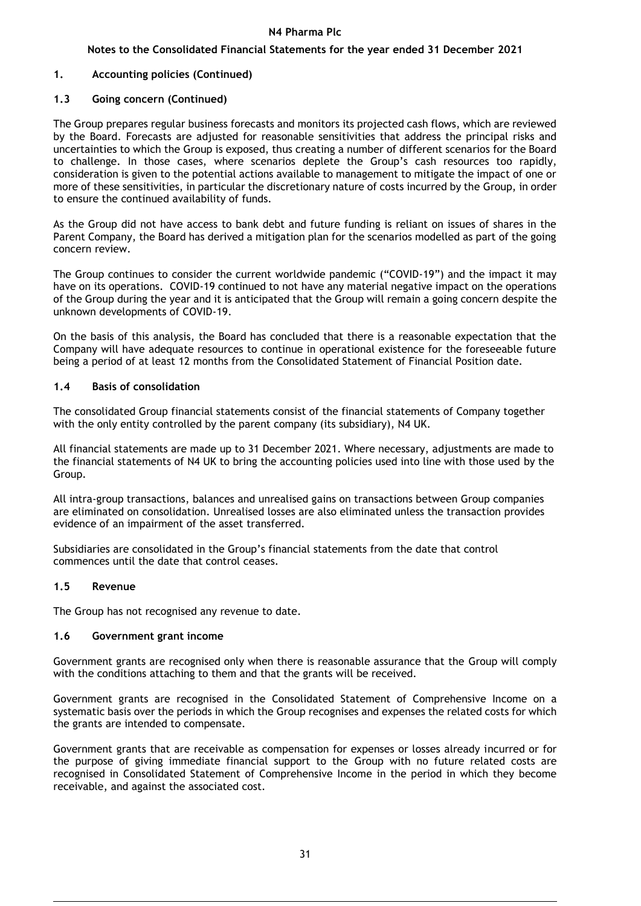## **Notes to the Consolidated Financial Statements for the year ended 31 December 2021**

## **1. Accounting policies (Continued)**

## **1.3 Going concern (Continued)**

The Group prepares regular business forecasts and monitors its projected cash flows, which are reviewed by the Board. Forecasts are adjusted for reasonable sensitivities that address the principal risks and uncertainties to which the Group is exposed, thus creating a number of different scenarios for the Board to challenge. In those cases, where scenarios deplete the Group's cash resources too rapidly, consideration is given to the potential actions available to management to mitigate the impact of one or more of these sensitivities, in particular the discretionary nature of costs incurred by the Group, in order to ensure the continued availability of funds.

As the Group did not have access to bank debt and future funding is reliant on issues of shares in the Parent Company, the Board has derived a mitigation plan for the scenarios modelled as part of the going concern review.

The Group continues to consider the current worldwide pandemic ("COVID-19") and the impact it may have on its operations. COVID-19 continued to not have any material negative impact on the operations of the Group during the year and it is anticipated that the Group will remain a going concern despite the unknown developments of COVID-19.

On the basis of this analysis, the Board has concluded that there is a reasonable expectation that the Company will have adequate resources to continue in operational existence for the foreseeable future being a period of at least 12 months from the Consolidated Statement of Financial Position date.

## **1.4 Basis of consolidation**

The consolidated Group financial statements consist of the financial statements of Company together with the only entity controlled by the parent company (its subsidiary), N4 UK.

All financial statements are made up to 31 December 2021. Where necessary, adjustments are made to the financial statements of N4 UK to bring the accounting policies used into line with those used by the Group.

All intra-group transactions, balances and unrealised gains on transactions between Group companies are eliminated on consolidation. Unrealised losses are also eliminated unless the transaction provides evidence of an impairment of the asset transferred.

Subsidiaries are consolidated in the Group's financial statements from the date that control commences until the date that control ceases.

## **1.5 Revenue**

The Group has not recognised any revenue to date.

## **1.6 Government grant income**

Government grants are recognised only when there is reasonable assurance that the Group will comply with the conditions attaching to them and that the grants will be received.

Government grants are recognised in the Consolidated Statement of Comprehensive Income on a systematic basis over the periods in which the Group recognises and expenses the related costs for which the grants are intended to compensate.

Government grants that are receivable as compensation for expenses or losses already incurred or for the purpose of giving immediate financial support to the Group with no future related costs are recognised in Consolidated Statement of Comprehensive Income in the period in which they become receivable, and against the associated cost.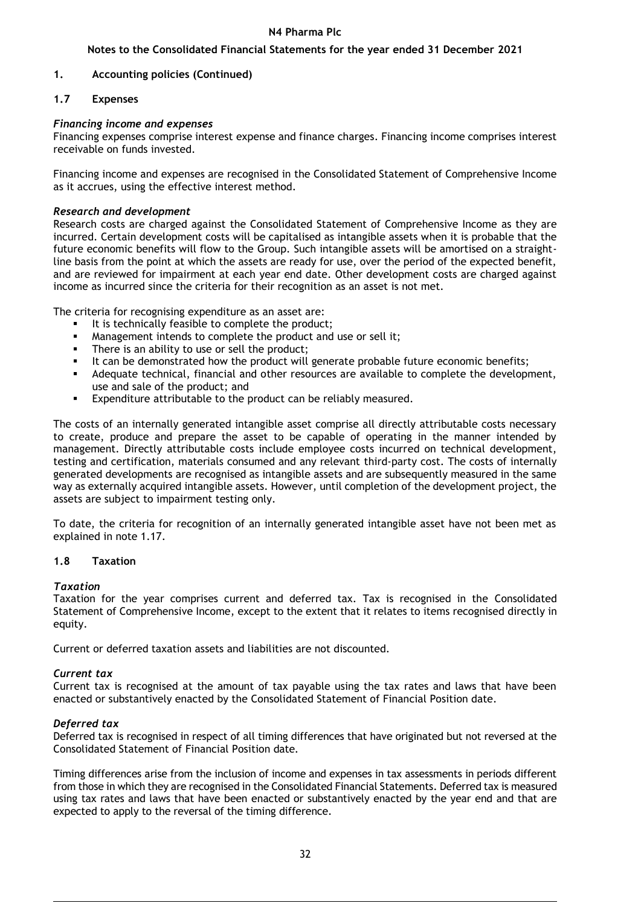## **Notes to the Consolidated Financial Statements for the year ended 31 December 2021**

## **1. Accounting policies (Continued)**

### **1.7 Expenses**

### *Financing income and expenses*

Financing expenses comprise interest expense and finance charges. Financing income comprises interest receivable on funds invested.

Financing income and expenses are recognised in the Consolidated Statement of Comprehensive Income as it accrues, using the effective interest method.

#### *Research and development*

Research costs are charged against the Consolidated Statement of Comprehensive Income as they are incurred. Certain development costs will be capitalised as intangible assets when it is probable that the future economic benefits will flow to the Group. Such intangible assets will be amortised on a straightline basis from the point at which the assets are ready for use, over the period of the expected benefit, and are reviewed for impairment at each year end date. Other development costs are charged against income as incurred since the criteria for their recognition as an asset is not met.

The criteria for recognising expenditure as an asset are:

- It is technically feasible to complete the product;
- Management intends to complete the product and use or sell it;<br>■ There is an ability to use or sell the product:
- There is an ability to use or sell the product;
- It can be demonstrated how the product will generate probable future economic benefits;
- Adequate technical, financial and other resources are available to complete the development, use and sale of the product; and
- Expenditure attributable to the product can be reliably measured.

The costs of an internally generated intangible asset comprise all directly attributable costs necessary to create, produce and prepare the asset to be capable of operating in the manner intended by management. Directly attributable costs include employee costs incurred on technical development, testing and certification, materials consumed and any relevant third-party cost. The costs of internally generated developments are recognised as intangible assets and are subsequently measured in the same way as externally acquired intangible assets. However, until completion of the development project, the assets are subject to impairment testing only.

To date, the criteria for recognition of an internally generated intangible asset have not been met as explained in note 1.17.

## **1.8 Taxation**

#### *Taxation*

Taxation for the year comprises current and deferred tax. Tax is recognised in the Consolidated Statement of Comprehensive Income, except to the extent that it relates to items recognised directly in equity.

Current or deferred taxation assets and liabilities are not discounted.

#### *Current tax*

Current tax is recognised at the amount of tax payable using the tax rates and laws that have been enacted or substantively enacted by the Consolidated Statement of Financial Position date.

#### *Deferred tax*

Deferred tax is recognised in respect of all timing differences that have originated but not reversed at the Consolidated Statement of Financial Position date.

Timing differences arise from the inclusion of income and expenses in tax assessments in periods different from those in which they are recognised in the Consolidated Financial Statements. Deferred tax is measured using tax rates and laws that have been enacted or substantively enacted by the year end and that are expected to apply to the reversal of the timing difference.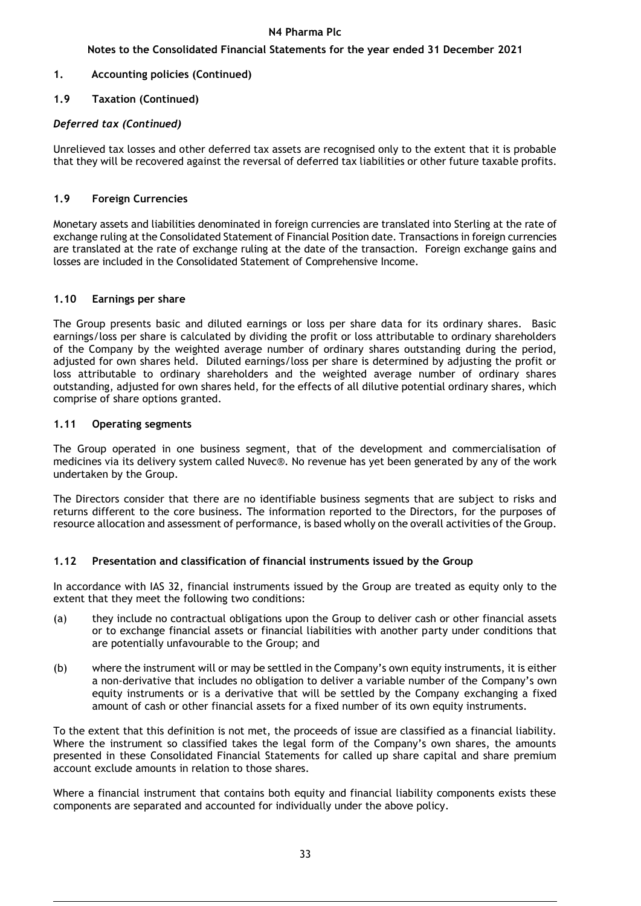# **Notes to the Consolidated Financial Statements for the year ended 31 December 2021**

## **1. Accounting policies (Continued)**

## **1.9 Taxation (Continued)**

## *Deferred tax (Continued)*

Unrelieved tax losses and other deferred tax assets are recognised only to the extent that it is probable that they will be recovered against the reversal of deferred tax liabilities or other future taxable profits.

## **1.9 Foreign Currencies**

Monetary assets and liabilities denominated in foreign currencies are translated into Sterling at the rate of exchange ruling at the Consolidated Statement of Financial Position date. Transactions in foreign currencies are translated at the rate of exchange ruling at the date of the transaction. Foreign exchange gains and losses are included in the Consolidated Statement of Comprehensive Income.

## **1.10 Earnings per share**

The Group presents basic and diluted earnings or loss per share data for its ordinary shares. Basic earnings/loss per share is calculated by dividing the profit or loss attributable to ordinary shareholders of the Company by the weighted average number of ordinary shares outstanding during the period, adjusted for own shares held. Diluted earnings/loss per share is determined by adjusting the profit or loss attributable to ordinary shareholders and the weighted average number of ordinary shares outstanding, adjusted for own shares held, for the effects of all dilutive potential ordinary shares, which comprise of share options granted.

### **1.11 Operating segments**

The Group operated in one business segment, that of the development and commercialisation of medicines via its delivery system called Nuvec®. No revenue has yet been generated by any of the work undertaken by the Group.

The Directors consider that there are no identifiable business segments that are subject to risks and returns different to the core business. The information reported to the Directors, for the purposes of resource allocation and assessment of performance, is based wholly on the overall activities of the Group.

## **1.12 Presentation and classification of financial instruments issued by the Group**

In accordance with IAS 32, financial instruments issued by the Group are treated as equity only to the extent that they meet the following two conditions:

- (a) they include no contractual obligations upon the Group to deliver cash or other financial assets or to exchange financial assets or financial liabilities with another party under conditions that are potentially unfavourable to the Group; and
- (b) where the instrument will or may be settled in the Company's own equity instruments, it is either a non-derivative that includes no obligation to deliver a variable number of the Company's own equity instruments or is a derivative that will be settled by the Company exchanging a fixed amount of cash or other financial assets for a fixed number of its own equity instruments.

To the extent that this definition is not met, the proceeds of issue are classified as a financial liability. Where the instrument so classified takes the legal form of the Company's own shares, the amounts presented in these Consolidated Financial Statements for called up share capital and share premium account exclude amounts in relation to those shares.

Where a financial instrument that contains both equity and financial liability components exists these components are separated and accounted for individually under the above policy.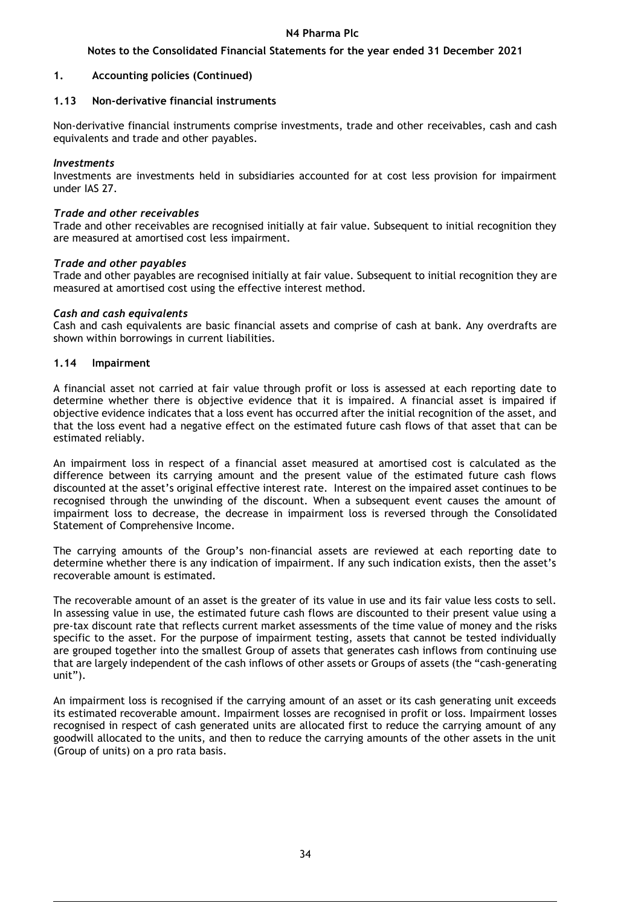## **Notes to the Consolidated Financial Statements for the year ended 31 December 2021**

## **1. Accounting policies (Continued)**

### **1.13 Non-derivative financial instruments**

Non-derivative financial instruments comprise investments, trade and other receivables, cash and cash equivalents and trade and other payables.

### *Investments*

Investments are investments held in subsidiaries accounted for at cost less provision for impairment under IAS 27.

### *Trade and other receivables*

Trade and other receivables are recognised initially at fair value. Subsequent to initial recognition they are measured at amortised cost less impairment.

## *Trade and other payables*

Trade and other payables are recognised initially at fair value. Subsequent to initial recognition they are measured at amortised cost using the effective interest method.

### *Cash and cash equivalents*

Cash and cash equivalents are basic financial assets and comprise of cash at bank. Any overdrafts are shown within borrowings in current liabilities.

### **1.14 Impairment**

A financial asset not carried at fair value through profit or loss is assessed at each reporting date to determine whether there is objective evidence that it is impaired. A financial asset is impaired if objective evidence indicates that a loss event has occurred after the initial recognition of the asset, and that the loss event had a negative effect on the estimated future cash flows of that asset that can be estimated reliably.

An impairment loss in respect of a financial asset measured at amortised cost is calculated as the difference between its carrying amount and the present value of the estimated future cash flows discounted at the asset's original effective interest rate. Interest on the impaired asset continues to be recognised through the unwinding of the discount. When a subsequent event causes the amount of impairment loss to decrease, the decrease in impairment loss is reversed through the Consolidated Statement of Comprehensive Income.

The carrying amounts of the Group's non-financial assets are reviewed at each reporting date to determine whether there is any indication of impairment. If any such indication exists, then the asset's recoverable amount is estimated.

The recoverable amount of an asset is the greater of its value in use and its fair value less costs to sell. In assessing value in use, the estimated future cash flows are discounted to their present value using a pre-tax discount rate that reflects current market assessments of the time value of money and the risks specific to the asset. For the purpose of impairment testing, assets that cannot be tested individually are grouped together into the smallest Group of assets that generates cash inflows from continuing use that are largely independent of the cash inflows of other assets or Groups of assets (the "cash-generating unit").

An impairment loss is recognised if the carrying amount of an asset or its cash generating unit exceeds its estimated recoverable amount. Impairment losses are recognised in profit or loss. Impairment losses recognised in respect of cash generated units are allocated first to reduce the carrying amount of any goodwill allocated to the units, and then to reduce the carrying amounts of the other assets in the unit (Group of units) on a pro rata basis.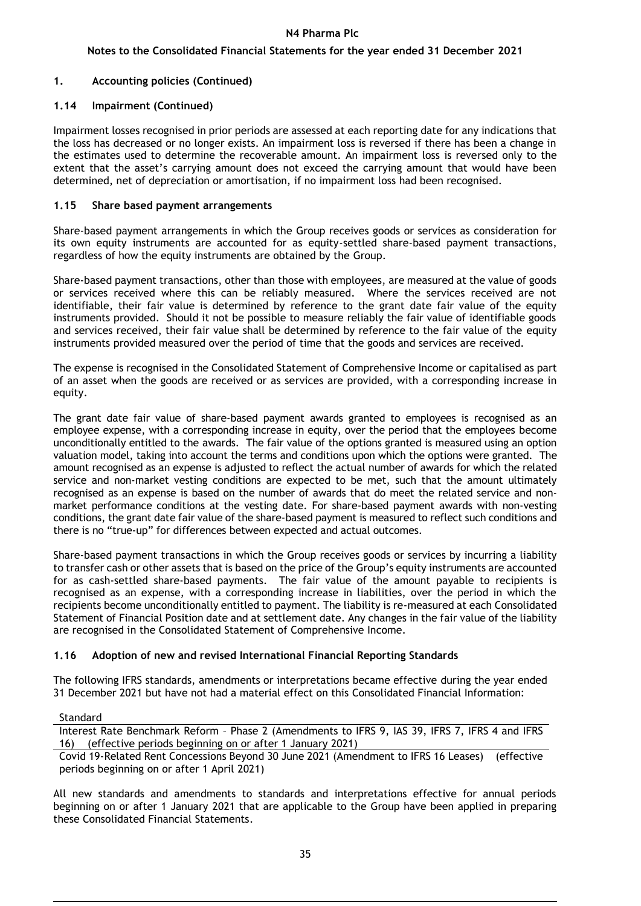## **Notes to the Consolidated Financial Statements for the year ended 31 December 2021**

## **1. Accounting policies (Continued)**

## **1.14 Impairment (Continued)**

Impairment losses recognised in prior periods are assessed at each reporting date for any indications that the loss has decreased or no longer exists. An impairment loss is reversed if there has been a change in the estimates used to determine the recoverable amount. An impairment loss is reversed only to the extent that the asset's carrying amount does not exceed the carrying amount that would have been determined, net of depreciation or amortisation, if no impairment loss had been recognised.

## **1.15 Share based payment arrangements**

Share-based payment arrangements in which the Group receives goods or services as consideration for its own equity instruments are accounted for as equity-settled share-based payment transactions, regardless of how the equity instruments are obtained by the Group.

Share-based payment transactions, other than those with employees, are measured at the value of goods or services received where this can be reliably measured. Where the services received are not identifiable, their fair value is determined by reference to the grant date fair value of the equity instruments provided. Should it not be possible to measure reliably the fair value of identifiable goods and services received, their fair value shall be determined by reference to the fair value of the equity instruments provided measured over the period of time that the goods and services are received.

The expense is recognised in the Consolidated Statement of Comprehensive Income or capitalised as part of an asset when the goods are received or as services are provided, with a corresponding increase in equity.

The grant date fair value of share-based payment awards granted to employees is recognised as an employee expense, with a corresponding increase in equity, over the period that the employees become unconditionally entitled to the awards. The fair value of the options granted is measured using an option valuation model, taking into account the terms and conditions upon which the options were granted. The amount recognised as an expense is adjusted to reflect the actual number of awards for which the related service and non-market vesting conditions are expected to be met, such that the amount ultimately recognised as an expense is based on the number of awards that do meet the related service and nonmarket performance conditions at the vesting date. For share-based payment awards with non-vesting conditions, the grant date fair value of the share-based payment is measured to reflect such conditions and there is no "true-up" for differences between expected and actual outcomes.

Share-based payment transactions in which the Group receives goods or services by incurring a liability to transfer cash or other assets that is based on the price of the Group's equity instruments are accounted for as cash-settled share-based payments. The fair value of the amount payable to recipients is recognised as an expense, with a corresponding increase in liabilities, over the period in which the recipients become unconditionally entitled to payment. The liability is re-measured at each Consolidated Statement of Financial Position date and at settlement date. Any changes in the fair value of the liability are recognised in the Consolidated Statement of Comprehensive Income.

## **1.16 Adoption of new and revised International Financial Reporting Standards**

The following IFRS standards, amendments or interpretations became effective during the year ended 31 December 2021 but have not had a material effect on this Consolidated Financial Information:

**Standard** 

Interest Rate Benchmark Reform – Phase 2 (Amendments to IFRS 9, IAS 39, IFRS 7, IFRS 4 and IFRS 16) (effective periods beginning on or after 1 January 2021)

Covid 19-Related Rent Concessions Beyond 30 June 2021 (Amendment to IFRS 16 Leases) (effective periods beginning on or after 1 April 2021)

All new standards and amendments to standards and interpretations effective for annual periods beginning on or after 1 January 2021 that are applicable to the Group have been applied in preparing these Consolidated Financial Statements.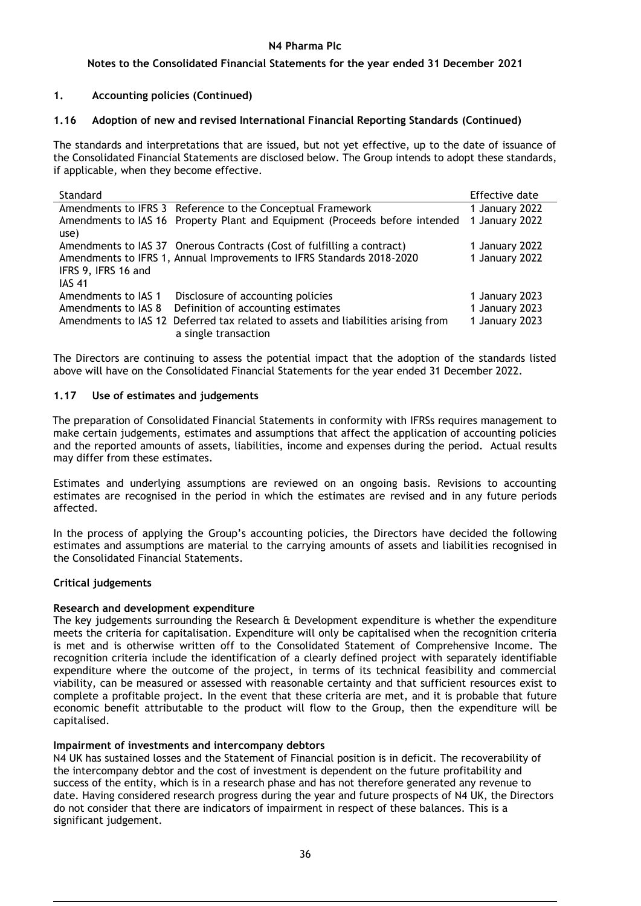## **Notes to the Consolidated Financial Statements for the year ended 31 December 2021**

## **1. Accounting policies (Continued)**

## **1.16 Adoption of new and revised International Financial Reporting Standards (Continued)**

The standards and interpretations that are issued, but not yet effective, up to the date of issuance of the Consolidated Financial Statements are disclosed below. The Group intends to adopt these standards, if applicable, when they become effective.

| Standard            |                                                                                  | Effective date |
|---------------------|----------------------------------------------------------------------------------|----------------|
|                     | Amendments to IFRS 3 Reference to the Conceptual Framework                       | 1 January 2022 |
| use)                | Amendments to IAS 16 Property Plant and Equipment (Proceeds before intended      | 1 January 2022 |
|                     | Amendments to IAS 37 Onerous Contracts (Cost of fulfilling a contract)           | 1 January 2022 |
|                     | Amendments to IFRS 1, Annual Improvements to IFRS Standards 2018-2020            | 1 January 2022 |
| IFRS 9, IFRS 16 and |                                                                                  |                |
| <b>IAS 41</b>       |                                                                                  |                |
| Amendments to IAS 1 | Disclosure of accounting policies                                                | 1 January 2023 |
| Amendments to IAS 8 | Definition of accounting estimates                                               | 1 January 2023 |
|                     | Amendments to IAS 12 Deferred tax related to assets and liabilities arising from | 1 January 2023 |
|                     | a single transaction                                                             |                |

The Directors are continuing to assess the potential impact that the adoption of the standards listed above will have on the Consolidated Financial Statements for the year ended 31 December 2022.

### **1.17 Use of estimates and judgements**

The preparation of Consolidated Financial Statements in conformity with IFRSs requires management to make certain judgements, estimates and assumptions that affect the application of accounting policies and the reported amounts of assets, liabilities, income and expenses during the period. Actual results may differ from these estimates.

Estimates and underlying assumptions are reviewed on an ongoing basis. Revisions to accounting estimates are recognised in the period in which the estimates are revised and in any future periods affected.

In the process of applying the Group's accounting policies, the Directors have decided the following estimates and assumptions are material to the carrying amounts of assets and liabilities recognised in the Consolidated Financial Statements.

## **Critical judgements**

## **Research and development expenditure**

The key judgements surrounding the Research & Development expenditure is whether the expenditure meets the criteria for capitalisation. Expenditure will only be capitalised when the recognition criteria is met and is otherwise written off to the Consolidated Statement of Comprehensive Income. The recognition criteria include the identification of a clearly defined project with separately identifiable expenditure where the outcome of the project, in terms of its technical feasibility and commercial viability, can be measured or assessed with reasonable certainty and that sufficient resources exist to complete a profitable project. In the event that these criteria are met, and it is probable that future economic benefit attributable to the product will flow to the Group, then the expenditure will be capitalised.

## **Impairment of investments and intercompany debtors**

N4 UK has sustained losses and the Statement of Financial position is in deficit. The recoverability of the intercompany debtor and the cost of investment is dependent on the future profitability and success of the entity, which is in a research phase and has not therefore generated any revenue to date. Having considered research progress during the year and future prospects of N4 UK, the Directors do not consider that there are indicators of impairment in respect of these balances. This is a significant judgement.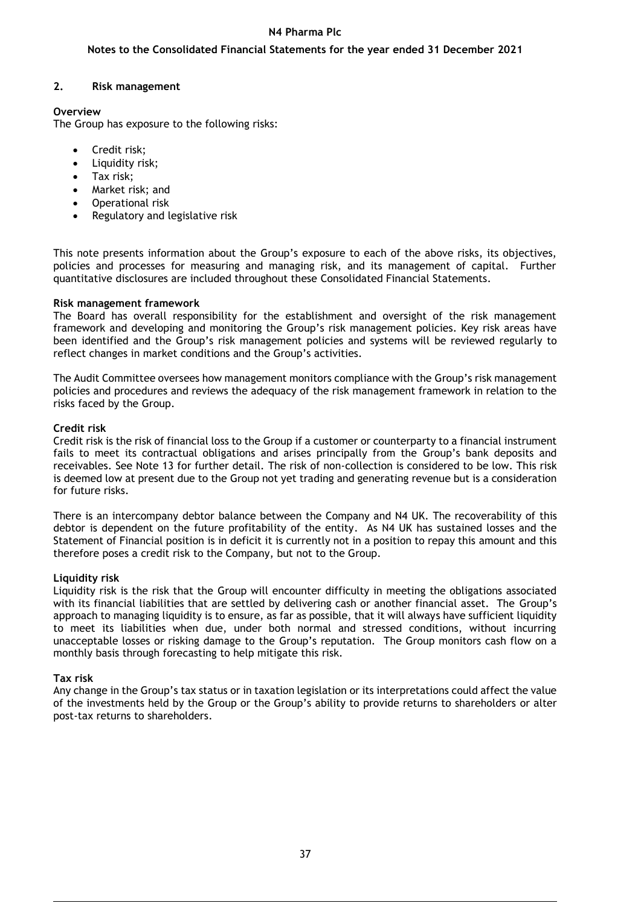## **Notes to the Consolidated Financial Statements for the year ended 31 December 2021**

### **2. Risk management**

## **Overview**

The Group has exposure to the following risks:

- Credit risk;
- Liquidity risk;
- Tax risk:
- Market risk; and
- Operational risk
- Regulatory and legislative risk

This note presents information about the Group's exposure to each of the above risks, its objectives, policies and processes for measuring and managing risk, and its management of capital. Further quantitative disclosures are included throughout these Consolidated Financial Statements.

### **Risk management framework**

The Board has overall responsibility for the establishment and oversight of the risk management framework and developing and monitoring the Group's risk management policies. Key risk areas have been identified and the Group's risk management policies and systems will be reviewed regularly to reflect changes in market conditions and the Group's activities.

The Audit Committee oversees how management monitors compliance with the Group's risk management policies and procedures and reviews the adequacy of the risk management framework in relation to the risks faced by the Group.

### **Credit risk**

Credit risk is the risk of financial loss to the Group if a customer or counterparty to a financial instrument fails to meet its contractual obligations and arises principally from the Group's bank deposits and receivables. See Note 13 for further detail. The risk of non-collection is considered to be low. This risk is deemed low at present due to the Group not yet trading and generating revenue but is a consideration for future risks.

There is an intercompany debtor balance between the Company and N4 UK. The recoverability of this debtor is dependent on the future profitability of the entity. As N4 UK has sustained losses and the Statement of Financial position is in deficit it is currently not in a position to repay this amount and this therefore poses a credit risk to the Company, but not to the Group.

#### **Liquidity risk**

Liquidity risk is the risk that the Group will encounter difficulty in meeting the obligations associated with its financial liabilities that are settled by delivering cash or another financial asset. The Group's approach to managing liquidity is to ensure, as far as possible, that it will always have sufficient liquidity to meet its liabilities when due, under both normal and stressed conditions, without incurring unacceptable losses or risking damage to the Group's reputation. The Group monitors cash flow on a monthly basis through forecasting to help mitigate this risk.

#### **Tax risk**

Any change in the Group's tax status or in taxation legislation or its interpretations could affect the value of the investments held by the Group or the Group's ability to provide returns to shareholders or alter post-tax returns to shareholders.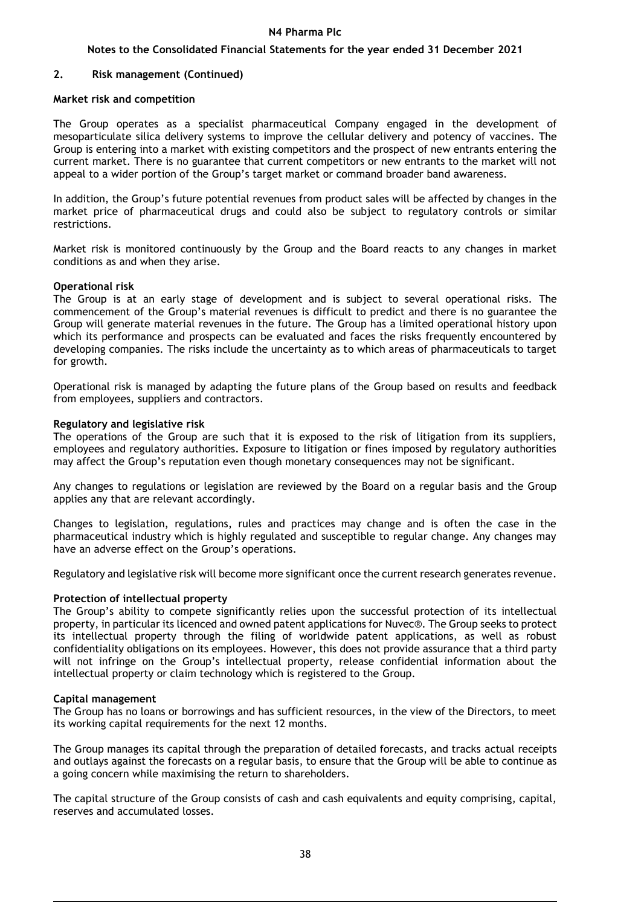## **Notes to the Consolidated Financial Statements for the year ended 31 December 2021**

## **2. Risk management (Continued)**

### **Market risk and competition**

The Group operates as a specialist pharmaceutical Company engaged in the development of mesoparticulate silica delivery systems to improve the cellular delivery and potency of vaccines. The Group is entering into a market with existing competitors and the prospect of new entrants entering the current market. There is no guarantee that current competitors or new entrants to the market will not appeal to a wider portion of the Group's target market or command broader band awareness.

In addition, the Group's future potential revenues from product sales will be affected by changes in the market price of pharmaceutical drugs and could also be subject to regulatory controls or similar restrictions.

Market risk is monitored continuously by the Group and the Board reacts to any changes in market conditions as and when they arise.

### **Operational risk**

The Group is at an early stage of development and is subject to several operational risks. The commencement of the Group's material revenues is difficult to predict and there is no guarantee the Group will generate material revenues in the future. The Group has a limited operational history upon which its performance and prospects can be evaluated and faces the risks frequently encountered by developing companies. The risks include the uncertainty as to which areas of pharmaceuticals to target for growth.

Operational risk is managed by adapting the future plans of the Group based on results and feedback from employees, suppliers and contractors.

#### **Regulatory and legislative risk**

The operations of the Group are such that it is exposed to the risk of litigation from its suppliers, employees and regulatory authorities. Exposure to litigation or fines imposed by regulatory authorities may affect the Group's reputation even though monetary consequences may not be significant.

Any changes to regulations or legislation are reviewed by the Board on a regular basis and the Group applies any that are relevant accordingly.

Changes to legislation, regulations, rules and practices may change and is often the case in the pharmaceutical industry which is highly regulated and susceptible to regular change. Any changes may have an adverse effect on the Group's operations.

Regulatory and legislative risk will become more significant once the current research generates revenue.

#### **Protection of intellectual property**

The Group's ability to compete significantly relies upon the successful protection of its intellectual property, in particular its licenced and owned patent applications for Nuvec®. The Group seeks to protect its intellectual property through the filing of worldwide patent applications, as well as robust confidentiality obligations on its employees. However, this does not provide assurance that a third party will not infringe on the Group's intellectual property, release confidential information about the intellectual property or claim technology which is registered to the Group.

#### **Capital management**

The Group has no loans or borrowings and has sufficient resources, in the view of the Directors, to meet its working capital requirements for the next 12 months.

The Group manages its capital through the preparation of detailed forecasts, and tracks actual receipts and outlays against the forecasts on a regular basis, to ensure that the Group will be able to continue as a going concern while maximising the return to shareholders.

The capital structure of the Group consists of cash and cash equivalents and equity comprising, capital, reserves and accumulated losses.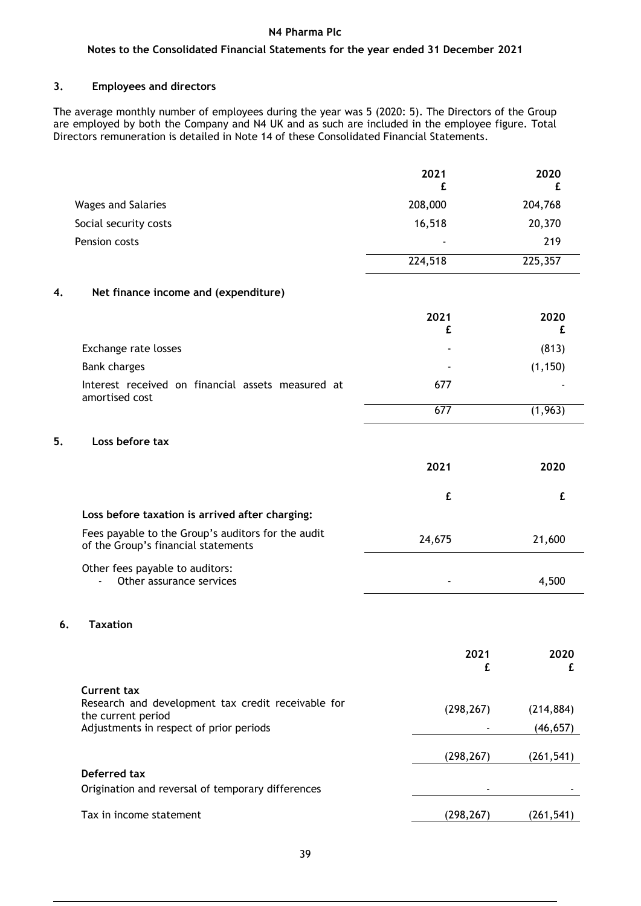### **Notes to the Consolidated Financial Statements for the year ended 31 December 2021**

### **3. Employees and directors**

The average monthly number of employees during the year was 5 (2020: 5). The Directors of the Group are employed by both the Company and N4 UK and as such are included in the employee figure. Total Directors remuneration is detailed in Note 14 of these Consolidated Financial Statements.

|                       | 2021    | 2020<br>£ |
|-----------------------|---------|-----------|
| Wages and Salaries    | 208,000 | 204,768   |
| Social security costs | 16,518  | 20,370    |
| Pension costs         | ۰       | 219       |
|                       | 224,518 | 225,357   |

# **4. Net finance income and (expenditure)**

|                                                                     | 2021 | 2020     |
|---------------------------------------------------------------------|------|----------|
| Exchange rate losses                                                | ٠    | (813)    |
| <b>Bank charges</b>                                                 | ٠    | (1, 150) |
| Interest received on financial assets measured at<br>amortised cost | 677  |          |
|                                                                     | 677  | (1, 963) |

# **5. Loss before tax**

|                                                                                           | 2021   | 2020   |
|-------------------------------------------------------------------------------------------|--------|--------|
|                                                                                           | £.     |        |
| Loss before taxation is arrived after charging:                                           |        |        |
| Fees payable to the Group's auditors for the audit<br>of the Group's financial statements | 24,675 | 21,600 |
| Other fees payable to auditors:<br>Other assurance services                               |        | 4.500  |

### **6. Taxation**

|                                                                                         | 2021<br>£  | 2020       |
|-----------------------------------------------------------------------------------------|------------|------------|
| Current tax<br>Research and development tax credit receivable for<br>the current period | (298, 267) | (214, 884) |
| Adjustments in respect of prior periods                                                 |            | (46, 657)  |
|                                                                                         | (298, 267) | (261, 541) |
| Deferred tax                                                                            |            |            |
| Origination and reversal of temporary differences                                       |            |            |
| Tax in income statement                                                                 | (298.267)  | (261.541)  |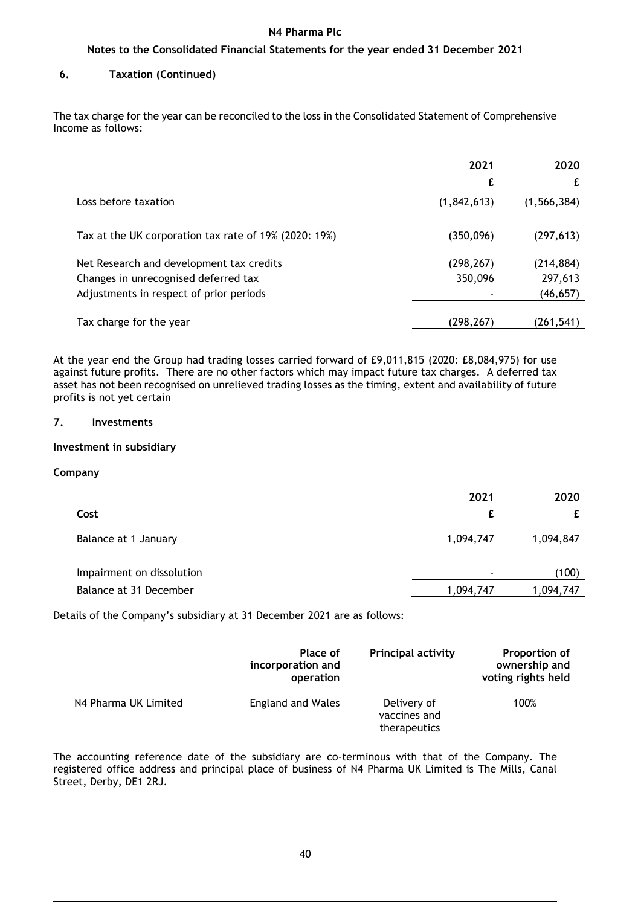# **Notes to the Consolidated Financial Statements for the year ended 31 December 2021**

## **6. Taxation (Continued)**

The tax charge for the year can be reconciled to the loss in the Consolidated Statement of Comprehensive Income as follows:

|                                                       | 2021<br>£     | 2020          |
|-------------------------------------------------------|---------------|---------------|
| Loss before taxation                                  | (1, 842, 613) | (1, 566, 384) |
| Tax at the UK corporation tax rate of 19% (2020: 19%) | (350,096)     | (297, 613)    |
| Net Research and development tax credits              | (298, 267)    | (214, 884)    |
| Changes in unrecognised deferred tax                  | 350,096       | 297,613       |
| Adjustments in respect of prior periods               |               | (46, 657)     |
| Tax charge for the year                               | (298, 267)    | (261,541)     |

At the year end the Group had trading losses carried forward of £9,011,815 (2020: £8,084,975) for use against future profits. There are no other factors which may impact future tax charges. A deferred tax asset has not been recognised on unrelieved trading losses as the timing, extent and availability of future profits is not yet certain

# **7. Investments**

### **Investment in subsidiary**

**Company**

|                           | 2021      | 2020      |
|---------------------------|-----------|-----------|
| Cost                      |           |           |
| Balance at 1 January      | 1,094,747 | 1,094,847 |
| Impairment on dissolution |           | (100)     |
| Balance at 31 December    | 1,094,747 | 1,094,747 |

Details of the Company's subsidiary at 31 December 2021 are as follows:

|                      | Place of<br>incorporation and<br>operation | <b>Principal activity</b>                   | Proportion of<br>ownership and<br>voting rights held |
|----------------------|--------------------------------------------|---------------------------------------------|------------------------------------------------------|
| N4 Pharma UK Limited | <b>England and Wales</b>                   | Delivery of<br>vaccines and<br>therapeutics | 100%                                                 |

The accounting reference date of the subsidiary are co-terminous with that of the Company. The registered office address and principal place of business of N4 Pharma UK Limited is The Mills, Canal Street, Derby, DE1 2RJ.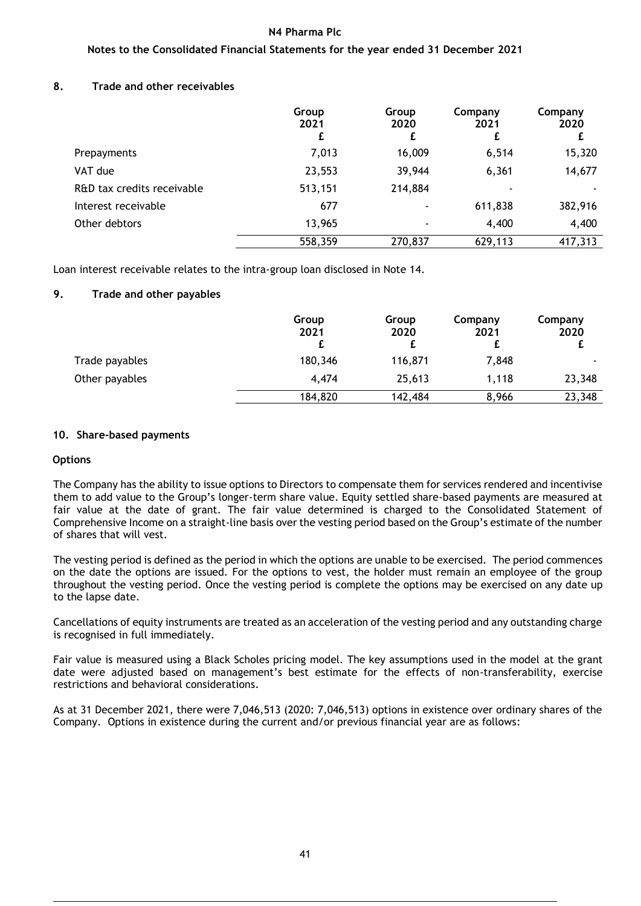## **Notes to the Consolidated Financial Statements for the year ended 31 December 2021**

## **8. Trade and other receivables**

|                            | Group<br>2021<br>£ | Group<br>2020<br>£ | Company<br>2021<br>£ | Company<br>2020<br>£ |
|----------------------------|--------------------|--------------------|----------------------|----------------------|
| Prepayments                | 7,013              | 16,009             | 6,514                | 15,320               |
| VAT due                    | 23,553             | 39,944             | 6,361                | 14,677               |
| R&D tax credits receivable | 513,151            | 214,884            |                      |                      |
| Interest receivable        | 677                |                    | 611,838              | 382,916              |
| Other debtors              | 13,965             |                    | 4,400                | 4,400                |
|                            | 558,359            | 270,837            | 629,113              | 417,313              |

Loan interest receivable relates to the intra-group loan disclosed in Note 14.

## **9. Trade and other payables**

|                | Group<br>2021<br>£ | Group<br>2020 | Company<br>2021 | Company<br>2020 |
|----------------|--------------------|---------------|-----------------|-----------------|
| Trade payables | 180,346            | 116,871       | 7,848           |                 |
| Other payables | 4.474              | 25,613        | 1.118           | 23,348          |
|                | 184,820            | 142,484       | 8,966           | 23,348          |

## **10. Share-based payments**

## **Options**

The Company has the ability to issue options to Directors to compensate them for services rendered and incentivise them to add value to the Group's longer-term share value. Equity settled share-based payments are measured at fair value at the date of grant. The fair value determined is charged to the Consolidated Statement of Comprehensive Income on a straight-line basis over the vesting period based on the Group's estimate of the number of shares that will vest.

The vesting period is defined as the period in which the options are unable to be exercised. The period commences on the date the options are issued. For the options to vest, the holder must remain an employee of the group throughout the vesting period. Once the vesting period is complete the options may be exercised on any date up to the lapse date.

Cancellations of equity instruments are treated as an acceleration of the vesting period and any outstanding charge is recognised in full immediately.

Fair value is measured using a Black Scholes pricing model. The key assumptions used in the model at the grant date were adjusted based on management's best estimate for the effects of non-transferability, exercise restrictions and behavioral considerations.

As at 31 December 2021, there were 7,046,513 (2020: 7,046,513) options in existence over ordinary shares of the Company. Options in existence during the current and/or previous financial year are as follows: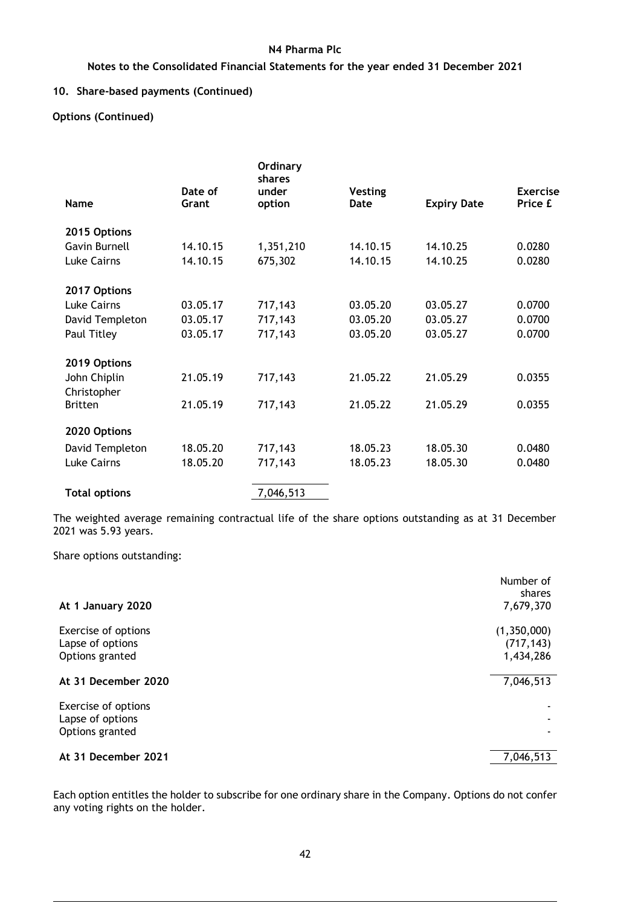## **Notes to the Consolidated Financial Statements for the year ended 31 December 2021**

# **10. Share-based payments (Continued)**

# **Options (Continued)**

| <b>Name</b>                 | Date of<br>Grant | Ordinary<br>shares<br>under<br>option | <b>Vesting</b><br>Date | <b>Expiry Date</b> | <b>Exercise</b><br>Price £ |
|-----------------------------|------------------|---------------------------------------|------------------------|--------------------|----------------------------|
| 2015 Options                |                  |                                       |                        |                    |                            |
| Gavin Burnell               | 14.10.15         | 1,351,210                             | 14.10.15               | 14.10.25           | 0.0280                     |
| Luke Cairns                 | 14.10.15         | 675,302                               | 14.10.15               | 14.10.25           | 0.0280                     |
| 2017 Options                |                  |                                       |                        |                    |                            |
| Luke Cairns                 | 03.05.17         | 717,143                               | 03.05.20               | 03.05.27           | 0.0700                     |
| David Templeton             | 03.05.17         | 717,143                               | 03.05.20               | 03.05.27           | 0.0700                     |
| Paul Titley                 | 03.05.17         | 717,143                               | 03.05.20               | 03.05.27           | 0.0700                     |
| 2019 Options                |                  |                                       |                        |                    |                            |
| John Chiplin<br>Christopher | 21.05.19         | 717,143                               | 21.05.22               | 21.05.29           | 0.0355                     |
| <b>Britten</b>              | 21.05.19         | 717,143                               | 21.05.22               | 21.05.29           | 0.0355                     |
| 2020 Options                |                  |                                       |                        |                    |                            |
| David Templeton             | 18.05.20         | 717,143                               | 18.05.23               | 18.05.30           | 0.0480                     |
| <b>Luke Cairns</b>          | 18.05.20         | 717,143                               | 18.05.23               | 18.05.30           | 0.0480                     |
| <b>Total options</b>        |                  | 7,046,513                             |                        |                    |                            |

The weighted average remaining contractual life of the share options outstanding as at 31 December 2021 was 5.93 years.

Share options outstanding:

| At 1 January 2020                                          | Number of<br>shares<br>7,679,370       |
|------------------------------------------------------------|----------------------------------------|
| Exercise of options<br>Lapse of options<br>Options granted | (1,350,000)<br>(717, 143)<br>1,434,286 |
| At 31 December 2020                                        | 7,046,513                              |
| Exercise of options<br>Lapse of options<br>Options granted |                                        |
| At 31 December 2021                                        | 7,046,513                              |

Each option entitles the holder to subscribe for one ordinary share in the Company. Options do not confer any voting rights on the holder.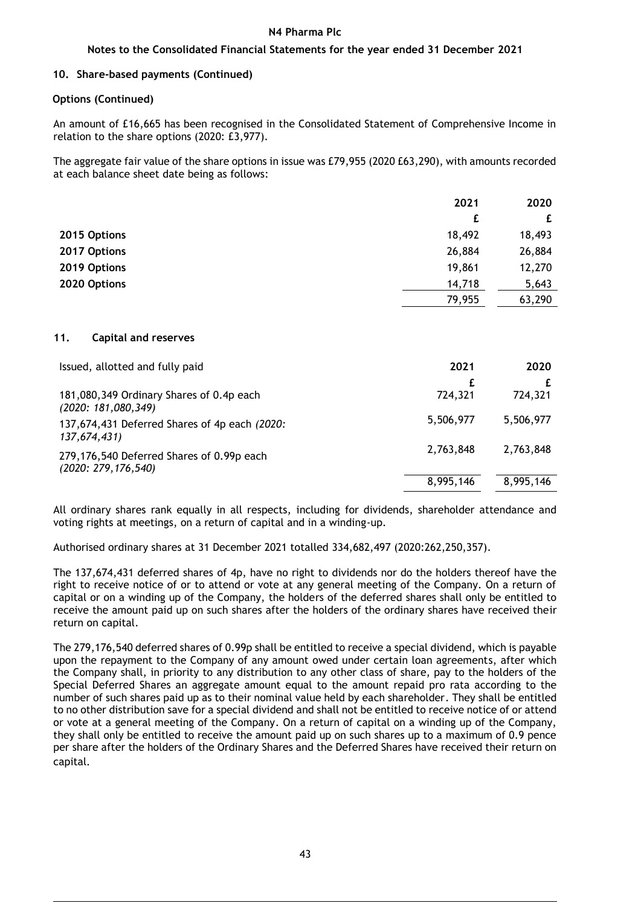## **Notes to the Consolidated Financial Statements for the year ended 31 December 2021**

## **10. Share-based payments (Continued)**

### **Options (Continued)**

An amount of £16,665 has been recognised in the Consolidated Statement of Comprehensive Income in relation to the share options (2020: £3,977).

The aggregate fair value of the share options in issue was £79,955 (2020 £63,290), with amounts recorded at each balance sheet date being as follows:

|              | 2021   | 2020   |
|--------------|--------|--------|
|              | £      | £      |
| 2015 Options | 18,492 | 18,493 |
| 2017 Options | 26,884 | 26,884 |
| 2019 Options | 19,861 | 12,270 |
| 2020 Options | 14,718 | 5,643  |
|              | 79,955 | 63,290 |

#### **11. Capital and reserves**

| Issued, allotted and fully paid                                    | 2021      | 2020      |
|--------------------------------------------------------------------|-----------|-----------|
|                                                                    |           |           |
| 181,080,349 Ordinary Shares of 0.4p each<br>(2020: 181,080,349)    | 724.321   | 724,321   |
| 137,674,431 Deferred Shares of 4p each (2020:<br>137,674,431)      | 5,506,977 | 5,506,977 |
| 279,176,540 Deferred Shares of 0.99p each<br>(2020: 279, 176, 540) | 2,763,848 | 2,763,848 |
|                                                                    | 8,995,146 | 8,995,146 |

All ordinary shares rank equally in all respects, including for dividends, shareholder attendance and voting rights at meetings, on a return of capital and in a winding-up.

Authorised ordinary shares at 31 December 2021 totalled 334,682,497 (2020:262,250,357).

The 137,674,431 deferred shares of 4p, have no right to dividends nor do the holders thereof have the right to receive notice of or to attend or vote at any general meeting of the Company. On a return of capital or on a winding up of the Company, the holders of the deferred shares shall only be entitled to receive the amount paid up on such shares after the holders of the ordinary shares have received their return on capital.

The 279,176,540 deferred shares of 0.99p shall be entitled to receive a special dividend, which is payable upon the repayment to the Company of any amount owed under certain loan agreements, after which the Company shall, in priority to any distribution to any other class of share, pay to the holders of the Special Deferred Shares an aggregate amount equal to the amount repaid pro rata according to the number of such shares paid up as to their nominal value held by each shareholder. They shall be entitled to no other distribution save for a special dividend and shall not be entitled to receive notice of or attend or vote at a general meeting of the Company. On a return of capital on a winding up of the Company, they shall only be entitled to receive the amount paid up on such shares up to a maximum of 0.9 pence per share after the holders of the Ordinary Shares and the Deferred Shares have received their return on capital.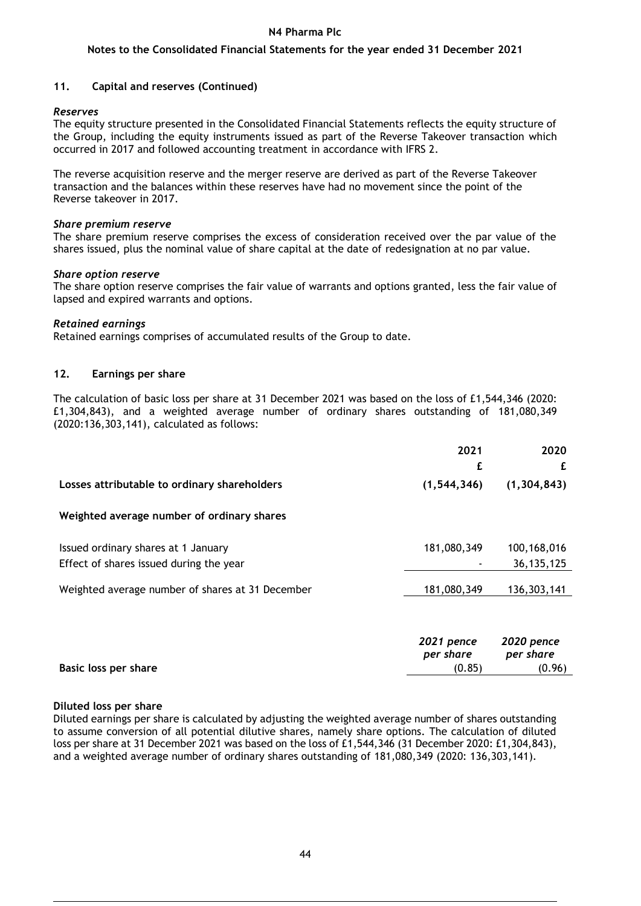## **Notes to the Consolidated Financial Statements for the year ended 31 December 2021**

## **11. Capital and reserves (Continued)**

### *Reserves*

The equity structure presented in the Consolidated Financial Statements reflects the equity structure of the Group, including the equity instruments issued as part of the Reverse Takeover transaction which occurred in 2017 and followed accounting treatment in accordance with IFRS 2.

The reverse acquisition reserve and the merger reserve are derived as part of the Reverse Takeover transaction and the balances within these reserves have had no movement since the point of the Reverse takeover in 2017.

#### *Share premium reserve*

The share premium reserve comprises the excess of consideration received over the par value of the shares issued, plus the nominal value of share capital at the date of redesignation at no par value.

### *Share option reserve*

The share option reserve comprises the fair value of warrants and options granted, less the fair value of lapsed and expired warrants and options.

### *Retained earnings*

Retained earnings comprises of accumulated results of the Group to date.

## **12. Earnings per share**

The calculation of basic loss per share at 31 December 2021 was based on the loss of £1,544,346 (2020: £1,304,843), and a weighted average number of ordinary shares outstanding of 181,080,349 (2020:136,303,141), calculated as follows:

|                                                  | 2021<br>£     | 2020<br>£     |
|--------------------------------------------------|---------------|---------------|
| Losses attributable to ordinary shareholders     | (1, 544, 346) | (1, 304, 843) |
| Weighted average number of ordinary shares       |               |               |
| Issued ordinary shares at 1 January              | 181,080,349   | 100,168,016   |
| Effect of shares issued during the year          |               | 36,135,125    |
| Weighted average number of shares at 31 December | 181,080,349   | 136,303,141   |

|                      | 2021 pence 2020 pence<br>per share | per share |
|----------------------|------------------------------------|-----------|
| Basic loss per share | (0.85)                             | (0.96)    |
|                      |                                    |           |

#### **Diluted loss per share**

Diluted earnings per share is calculated by adjusting the weighted average number of shares outstanding to assume conversion of all potential dilutive shares, namely share options. The calculation of diluted loss per share at 31 December 2021 was based on the loss of £1,544,346 (31 December 2020: £1,304,843), and a weighted average number of ordinary shares outstanding of 181,080,349 (2020: 136,303,141).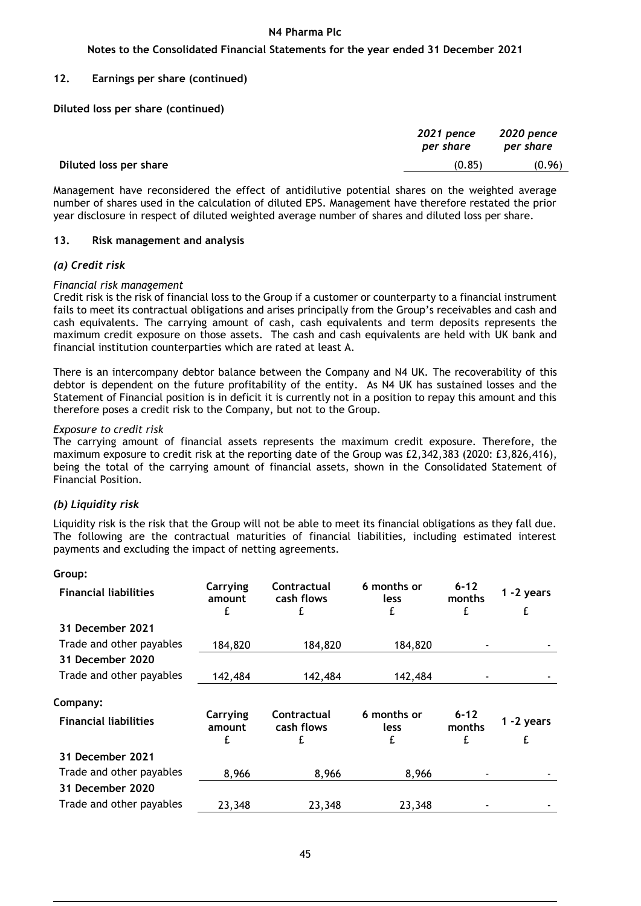# **Notes to the Consolidated Financial Statements for the year ended 31 December 2021**

## **12. Earnings per share (continued)**

**Diluted loss per share (continued)**

|                        | 2021 pence<br>per share | 2020 pence<br>per share |
|------------------------|-------------------------|-------------------------|
| Diluted loss per share | (0.85)                  | (0.96)                  |
|                        |                         |                         |

Management have reconsidered the effect of antidilutive potential shares on the weighted average number of shares used in the calculation of diluted EPS. Management have therefore restated the prior year disclosure in respect of diluted weighted average number of shares and diluted loss per share.

## **13. Risk management and analysis**

## *(a) Credit risk*

## *Financial risk management*

Credit risk is the risk of financial loss to the Group if a customer or counterparty to a financial instrument fails to meet its contractual obligations and arises principally from the Group's receivables and cash and cash equivalents. The carrying amount of cash, cash equivalents and term deposits represents the maximum credit exposure on those assets. The cash and cash equivalents are held with UK bank and financial institution counterparties which are rated at least A.

There is an intercompany debtor balance between the Company and N4 UK. The recoverability of this debtor is dependent on the future profitability of the entity. As N4 UK has sustained losses and the Statement of Financial position is in deficit it is currently not in a position to repay this amount and this therefore poses a credit risk to the Company, but not to the Group.

## *Exposure to credit risk*

The carrying amount of financial assets represents the maximum credit exposure. Therefore, the maximum exposure to credit risk at the reporting date of the Group was £2,342,383 (2020: £3,826,416), being the total of the carrying amount of financial assets, shown in the Consolidated Statement of Financial Position.

# *(b) Liquidity risk*

Liquidity risk is the risk that the Group will not be able to meet its financial obligations as they fall due. The following are the contractual maturities of financial liabilities, including estimated interest payments and excluding the impact of netting agreements.

| Group:                       |                         |                                |                          |                         |                    |
|------------------------------|-------------------------|--------------------------------|--------------------------|-------------------------|--------------------|
| <b>Financial liabilities</b> | Carrying<br>amount<br>£ | Contractual<br>cash flows      | 6 months or<br>less<br>£ | $6 - 12$<br>months<br>£ | $1 - 2$ years<br>£ |
| 31 December 2021             |                         |                                |                          |                         |                    |
| Trade and other payables     | 184,820                 | 184,820                        | 184,820                  |                         |                    |
| 31 December 2020             |                         |                                |                          |                         |                    |
| Trade and other payables     | 142,484                 | 142,484                        | 142,484                  |                         |                    |
| Company:                     |                         |                                |                          |                         |                    |
| <b>Financial liabilities</b> | Carrying<br>amount<br>£ | Contractual<br>cash flows<br>£ | 6 months or<br>less<br>£ | $6 - 12$<br>months<br>£ | 1 -2 years<br>£    |
| 31 December 2021             |                         |                                |                          |                         |                    |
| Trade and other payables     | 8,966                   | 8,966                          | 8,966                    |                         |                    |
| 31 December 2020             |                         |                                |                          |                         |                    |
| Trade and other payables     | 23,348                  | 23,348                         | 23,348                   |                         |                    |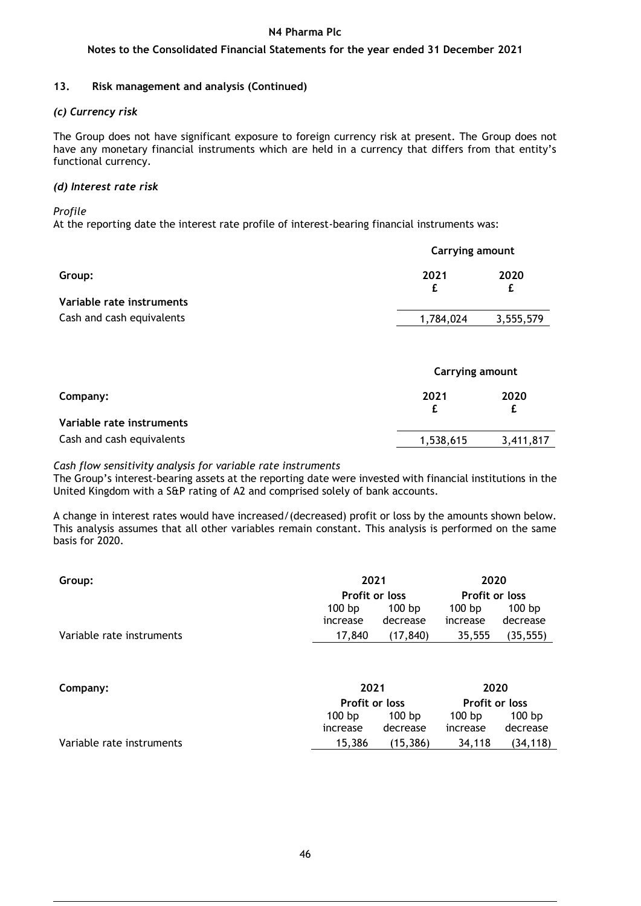## **Notes to the Consolidated Financial Statements for the year ended 31 December 2021**

### **13. Risk management and analysis (Continued)**

## *(c) Currency risk*

The Group does not have significant exposure to foreign currency risk at present. The Group does not have any monetary financial instruments which are held in a currency that differs from that entity's functional currency.

### *(d) Interest rate risk*

### *Profile*

At the reporting date the interest rate profile of interest-bearing financial instruments was:

|                           | Carrying amount        |           |  |
|---------------------------|------------------------|-----------|--|
| Group:                    | 2021<br>£              | 2020<br>£ |  |
| Variable rate instruments |                        |           |  |
| Cash and cash equivalents | 1,784,024<br>3,555,579 |           |  |
|                           | Carrying amount        |           |  |
| Company:                  | 2021                   | 2020      |  |
|                           | £                      | £         |  |
| Variable rate instruments |                        |           |  |

Cash and cash equivalents and cash equivalents and cash equivalents and cash equivalents and cash equivalents and  $1,538,615$  and  $3,411,817$ 

#### *Cash flow sensitivity analysis for variable rate instruments*

The Group's interest-bearing assets at the reporting date were invested with financial institutions in the United Kingdom with a S&P rating of A2 and comprised solely of bank accounts.

A change in interest rates would have increased/(decreased) profit or loss by the amounts shown below. This analysis assumes that all other variables remain constant. This analysis is performed on the same basis for 2020.

| Group:                    | 2021<br><b>Profit or loss</b> |                               | 2020<br><b>Profit or loss</b> |                               |
|---------------------------|-------------------------------|-------------------------------|-------------------------------|-------------------------------|
|                           | 100 <sub>bp</sub><br>increase | 100 <sub>bp</sub><br>decrease | 100 <sub>bp</sub><br>increase | 100 <sub>bp</sub><br>decrease |
| Variable rate instruments | 17,840                        | (17, 840)                     | 35,555                        | (35, 555)                     |
| Company:                  | 2021                          |                               | 2020                          |                               |
|                           | <b>Profit or loss</b>         |                               | <b>Profit or loss</b>         |                               |
|                           | 100 <sub>bp</sub><br>increase | 100 <sub>bp</sub><br>decrease | 100 <sub>bp</sub>             | 100 bp                        |
| Variable rate instruments | 15,386                        | (15, 386)                     | increase<br>34,118            | decrease<br>(34, 118)         |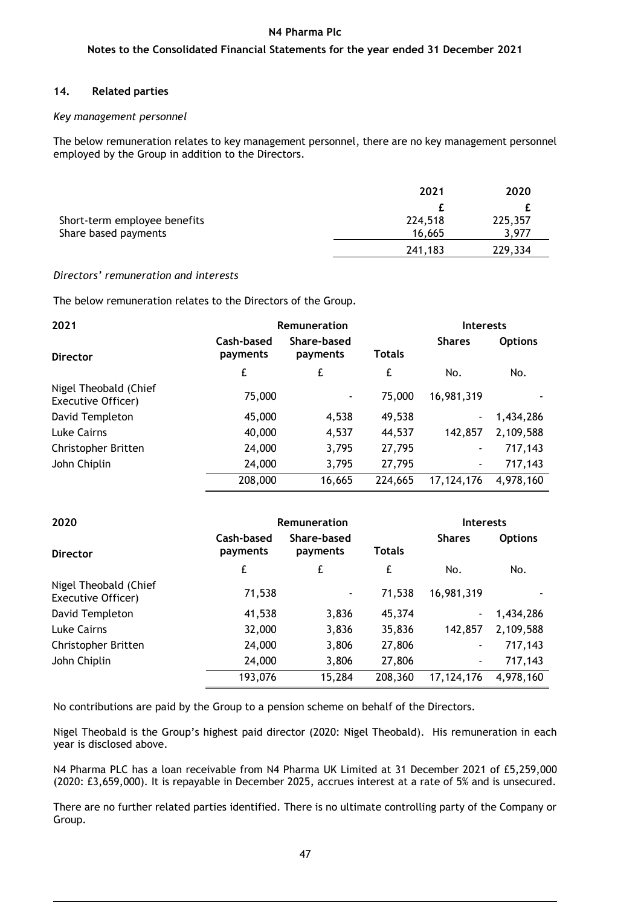## **Notes to the Consolidated Financial Statements for the year ended 31 December 2021**

## **14. Related parties**

### *Key management personnel*

The below remuneration relates to key management personnel, there are no key management personnel employed by the Group in addition to the Directors.

|                              | 2021    | 2020    |
|------------------------------|---------|---------|
|                              |         |         |
| Short-term employee benefits | 224,518 | 225,357 |
| Share based payments         | 16,665  | 3.977   |
|                              | 241,183 | 229,334 |

## *Directors' remuneration and interests*

The below remuneration relates to the Directors of the Group.

| 2021                                        | Remuneration           |                         |               | <b>Interests</b>         |                |
|---------------------------------------------|------------------------|-------------------------|---------------|--------------------------|----------------|
| <b>Director</b>                             | Cash-based<br>payments | Share-based<br>payments | <b>Totals</b> | <b>Shares</b>            | <b>Options</b> |
|                                             | £                      | £                       | £             | No.                      | No.            |
| Nigel Theobald (Chief<br>Executive Officer) | 75,000                 | ٠                       | 75,000        | 16,981,319               |                |
| David Templeton                             | 45,000                 | 4,538                   | 49,538        | $\overline{\phantom{a}}$ | 1,434,286      |
| Luke Cairns                                 | 40,000                 | 4,537                   | 44,537        | 142,857                  | 2,109,588      |
| Christopher Britten                         | 24,000                 | 3,795                   | 27,795        | ٠                        | 717,143        |
| John Chiplin                                | 24,000                 | 3,795                   | 27,795        | ٠                        | 717,143        |
|                                             | 208,000                | 16,665                  | 224,665       | 17, 124, 176             | 4,978,160      |

| 2020                                        | Remuneration           |                         |               | <b>Interests</b> |                |
|---------------------------------------------|------------------------|-------------------------|---------------|------------------|----------------|
| <b>Director</b>                             | Cash-based<br>payments | Share-based<br>payments | <b>Totals</b> | <b>Shares</b>    | <b>Options</b> |
|                                             | £                      | £                       | £             | No.              | No.            |
| Nigel Theobald (Chief<br>Executive Officer) | 71,538                 | ٠                       | 71,538        | 16,981,319       |                |
| David Templeton                             | 41,538                 | 3,836                   | 45,374        | $\blacksquare$   | 1,434,286      |
| Luke Cairns                                 | 32,000                 | 3,836                   | 35,836        | 142,857          | 2,109,588      |
| Christopher Britten                         | 24,000                 | 3,806                   | 27,806        | ٠                | 717,143        |
| John Chiplin                                | 24,000                 | 3,806                   | 27,806        | ۰                | 717,143        |
|                                             | 193,076                | 15,284                  | 208,360       | 17, 124, 176     | 4,978,160      |

No contributions are paid by the Group to a pension scheme on behalf of the Directors.

Nigel Theobald is the Group's highest paid director (2020: Nigel Theobald). His remuneration in each year is disclosed above.

N4 Pharma PLC has a loan receivable from N4 Pharma UK Limited at 31 December 2021 of £5,259,000 (2020: £3,659,000). It is repayable in December 2025, accrues interest at a rate of 5% and is unsecured.

There are no further related parties identified. There is no ultimate controlling party of the Company or Group.